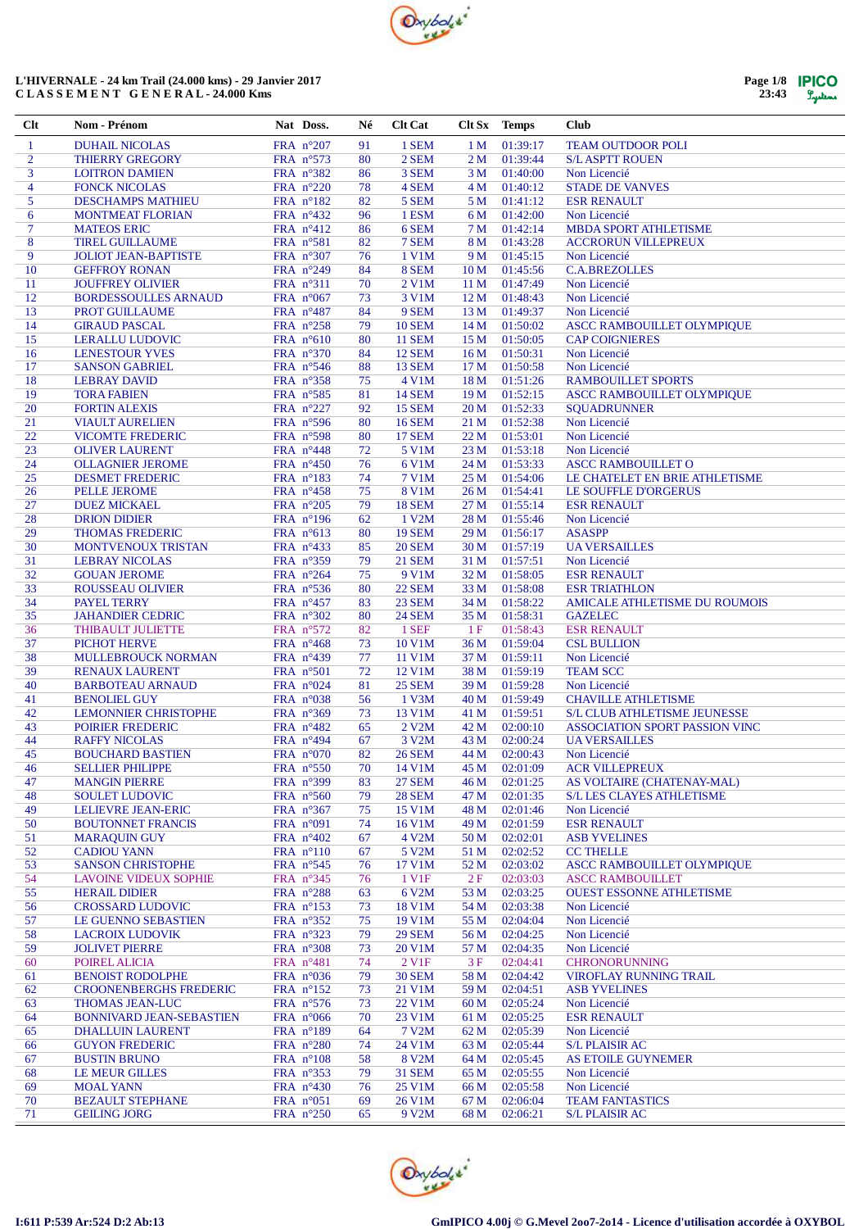

| Page 1/8 | <b>IPICO</b> |
|----------|--------------|
| 23:43    | Lystems      |

| Clt            | Nom - Prénom                                             | Nat Doss.                                 | Né       | <b>Clt Cat</b>                 |                 | Clt Sx Temps         | <b>Club</b>                                                |
|----------------|----------------------------------------------------------|-------------------------------------------|----------|--------------------------------|-----------------|----------------------|------------------------------------------------------------|
| $\mathbf{1}$   | <b>DUHAIL NICOLAS</b>                                    | FRA $n^{\circ}207$                        | 91       | 1 SEM                          | 1 <sub>M</sub>  | 01:39:17             | <b>TEAM OUTDOOR POLI</b>                                   |
| $\overline{2}$ | <b>THIERRY GREGORY</b>                                   | FRA n°573                                 | 80       | 2 SEM                          | 2 <sub>M</sub>  | 01:39:44             | <b>S/L ASPTT ROUEN</b>                                     |
| 3              | <b>LOITRON DAMIEN</b>                                    | FRA $n^{\circ}382$                        | 86       | 3 SEM                          | 3 M             | 01:40:00             | Non Licencié                                               |
| $\overline{4}$ | <b>FONCK NICOLAS</b>                                     | FRA n°220                                 | 78       | 4 SEM                          | 4 M             | 01:40:12             | <b>STADE DE VANVES</b>                                     |
| 5              | <b>DESCHAMPS MATHIEU</b>                                 | FRA $n^{\circ}182$                        | 82       | 5 SEM                          | 5 M             | 01:41:12             | <b>ESR RENAULT</b>                                         |
| 6              | <b>MONTMEAT FLORIAN</b>                                  | FRA $n^{\circ}432$                        | 96       | 1 ESM                          | 6 M             | 01:42:00             | Non Licencié                                               |
| 7              | <b>MATEOS ERIC</b>                                       | FRA $n^{\circ}412$                        | 86       | 6 SEM                          | 7 M             | 01:42:14             | MBDA SPORT ATHLETISME                                      |
| 8              | <b>TIREL GUILLAUME</b>                                   | FRA $n^{\circ}581$                        | 82       | 7 SEM                          | 8 M             | 01:43:28             | <b>ACCRORUN VILLEPREUX</b>                                 |
| 9              | <b>JOLIOT JEAN-BAPTISTE</b>                              | FRA $n^{\circ}307$                        | 76       | 1 V1M                          | 9 M             | 01:45:15             | Non Licencié                                               |
| 10             | <b>GEFFROY RONAN</b>                                     | FRA $n^{\circ}249$<br>FRA n°311           | 84       | 8 SEM                          | 10 <sub>M</sub> | 01:45:56             | <b>C.A.BREZOLLES</b>                                       |
| 11<br>12       | <b>JOUFFREY OLIVIER</b><br><b>BORDESSOULLES ARNAUD</b>   |                                           | 70<br>73 | 2 V1M<br>3 V1M                 | 11 M<br>12 M    | 01:47:49<br>01:48:43 | Non Licencié<br>Non Licencié                               |
| 13             | PROT GUILLAUME                                           | FRA $n^{\circ}067$<br>FRA $n^{\circ}487$  | 84       | 9 SEM                          | 13 M            | 01:49:37             | Non Licencié                                               |
| 14             | <b>GIRAUD PASCAL</b>                                     | FRA $n^{\circ}258$                        | 79       | <b>10 SEM</b>                  | 14 M            | 01:50:02             | ASCC RAMBOUILLET OLYMPIQUE                                 |
| 15             | <b>LERALLU LUDOVIC</b>                                   | FRA $n^{\circ}610$                        | 80       | <b>11 SEM</b>                  | 15 M            | 01:50:05             | <b>CAP COIGNIERES</b>                                      |
| 16             | <b>LENESTOUR YVES</b>                                    | FRA n°370                                 | 84       | <b>12 SEM</b>                  | 16 <sub>M</sub> | 01:50:31             | Non Licencié                                               |
| 17             | <b>SANSON GABRIEL</b>                                    | FRA $n^{\circ}$ 546                       | 88       | <b>13 SEM</b>                  | 17 <sub>M</sub> | 01:50:58             | Non Licencié                                               |
| 18             | <b>LEBRAY DAVID</b>                                      | FRA n°358                                 | 75       | 4 V1M                          | 18 M            | 01:51:26             | <b>RAMBOUILLET SPORTS</b>                                  |
| 19             | <b>TORA FABIEN</b>                                       | FRA n°585                                 | 81       | <b>14 SEM</b>                  | 19 M            | 01:52:15             | ASCC RAMBOUILLET OLYMPIQUE                                 |
| 20             | <b>FORTIN ALEXIS</b>                                     | FRA n°227                                 | 92       | <b>15 SEM</b>                  | 20 <sub>M</sub> | 01:52:33             | <b>SQUADRUNNER</b>                                         |
| 21             | <b>VIAULT AURELIEN</b>                                   | FRA $n^{\circ}596$                        | 80       | <b>16 SEM</b>                  | 21 M            | 01:52:38             | Non Licencié                                               |
| 22             | <b>VICOMTE FREDERIC</b>                                  | FRA n°598                                 | 80       | <b>17 SEM</b>                  | 22 M            | 01:53:01             | Non Licencié                                               |
| 23             | <b>OLIVER LAURENT</b>                                    | FRA $n^{\circ}448$                        | 72       | 5 V1M                          | 23 M            | 01:53:18             | Non Licencié                                               |
| 24             | <b>OLLAGNIER JEROME</b>                                  | FRA $n^{\circ}450$                        | 76       | 6 V1M                          | 24 M            | 01:53:33             | <b>ASCC RAMBOUILLET O</b>                                  |
| 25             | <b>DESMET FREDERIC</b>                                   | FRA n°183                                 | 74       | 7 V1M                          | 25 M            | 01:54:06             | LE CHATELET EN BRIE ATHLETISME                             |
| 26             | <b>PELLE JEROME</b>                                      | FRA $n^{\circ}458$                        | 75       | <b>8 V1M</b>                   | 26 M            | 01:54:41             | LE SOUFFLE D'ORGERUS                                       |
| 27             | <b>DUEZ MICKAEL</b>                                      | FRA $n^{\circ}205$                        | 79       | <b>18 SEM</b>                  | 27 M            | 01:55:14             | <b>ESR RENAULT</b>                                         |
| 28             | <b>DRION DIDIER</b>                                      | FRA $n^{\circ}196$                        | 62       | 1 V2M                          | 28 M            | 01:55:46             | Non Licencié                                               |
| 29             | THOMAS FREDERIC                                          | FRA n°613                                 | 80       | <b>19 SEM</b>                  | 29 M            | 01:56:17             | <b>ASASPP</b>                                              |
| 30             | MONTVENOUX TRISTAN                                       | FRA $n^{\circ}433$                        | 85       | <b>20 SEM</b>                  | 30 M            | 01:57:19             | <b>UA VERSAILLES</b>                                       |
| 31             | <b>LEBRAY NICOLAS</b>                                    | FRA $n^{\circ}359$                        | 79       | <b>21 SEM</b>                  | 31 M            | 01:57:51             | Non Licencié                                               |
| 32             | <b>GOUAN JEROME</b>                                      | FRA n°264                                 | 75       | 9 V1M                          | 32 M            | 01:58:05             | <b>ESR RENAULT</b>                                         |
| 33<br>34       | ROUSSEAU OLIVIER<br>PAYEL TERRY                          | FRA $n^{\circ}$ 536<br>FRA $n^{\circ}457$ | 80<br>83 | <b>22 SEM</b><br><b>23 SEM</b> | 33 M<br>34 M    | 01:58:08<br>01:58:22 | <b>ESR TRIATHLON</b><br>AMICALE ATHLETISME DU ROUMOIS      |
| 35             | <b>JAHANDIER CEDRIC</b>                                  | FRA n°302                                 | 80       | <b>24 SEM</b>                  | 35 M            | 01:58:31             | <b>GAZELEC</b>                                             |
| 36             | THIBAULT JULIETTE                                        | FRA $n^{\circ}572$                        | 82       | 1 SEF                          | 1F              | 01:58:43             | <b>ESR RENAULT</b>                                         |
| 37             | <b>PICHOT HERVE</b>                                      | FRA $n^{\circ}468$                        | 73       | 10 V1M                         | 36 M            | 01:59:04             | <b>CSL BULLION</b>                                         |
| 38             | MULLEBROUCK NORMAN                                       | FRA n°439                                 | 77       | 11 V1M                         | 37 M            | 01:59:11             | Non Licencié                                               |
| 39             | <b>RENAUX LAURENT</b>                                    | FRA $n^{\circ}501$                        | 72       | 12 V1M                         | 38 M            | 01:59:19             | <b>TEAM SCC</b>                                            |
| 40             | <b>BARBOTEAU ARNAUD</b>                                  | FRA $n^{\circ}024$                        | 81       | <b>25 SEM</b>                  | 39 M            | 01:59:28             | Non Licencié                                               |
| 41             | <b>BENOLIEL GUY</b>                                      | FRA $n^{\circ}038$                        | 56       | 1 V3M                          | 40 M            | 01:59:49             | <b>CHAVILLE ATHLETISME</b>                                 |
| 42             | <b>LEMONNIER CHRISTOPHE</b>                              | FRA n°369                                 | 73       | 13 V1M                         | 41 M            | 01:59:51             | <b>S/L CLUB ATHLETISME JEUNESSE</b>                        |
| 43             | POIRIER FREDERIC                                         | FRA $n^{\circ}482$                        | 65       | 2 V2M                          | 42 M            | 02:00:10             | ASSOCIATION SPORT PASSION VINC                             |
| 44             | <b>RAFFY NICOLAS</b>                                     | FRA $n^{\circ}494$                        | 67       | 3 V2M                          | 43 M            | 02:00:24             | <b>UA VERSAILLES</b>                                       |
| 45             | <b>BOUCHARD BASTIEN</b>                                  | FRA $n^{\circ}070$                        | 82       | <b>26 SEM</b>                  | 44 M            | 02:00:43             | Non Licencié                                               |
| 46             | <b>SELLIER PHILIPPE</b>                                  | FRA n°550                                 | 70       | 14 V1M                         | 45 M            | 02:01:09             | <b>ACR VILLEPREUX</b>                                      |
| 47             | <b>MANGIN PIERRE</b>                                     | FRA n°399                                 | 83       | <b>27 SEM</b>                  | 46 M            | 02:01:25             | AS VOLTAIRE (CHATENAY-MAL)                                 |
| 48             | <b>SOULET LUDOVIC</b>                                    | FRA n°560                                 | 79       | <b>28 SEM</b>                  | 47 M            | 02:01:35             | <b>S/L LES CLAYES ATHLETISME</b>                           |
| 49             | LELIEVRE JEAN-ERIC                                       | FRA $n^{\circ}367$                        | 75       | 15 V1M                         | 48 M            | 02:01:46             | Non Licencié                                               |
| 50             | <b>BOUTONNET FRANCIS</b>                                 | FRA $n°091$                               | 74       | 16 V1M                         | 49 M            | 02:01:59             | <b>ESR RENAULT</b>                                         |
| 51             | <b>MARAQUIN GUY</b>                                      | FRA $n^{\circ}402$                        | 67       | 4 V2M                          | 50 M            | 02:02:01             | <b>ASB YVELINES</b>                                        |
| 52             | <b>CADIOU YANN</b>                                       | FRA $n^{\circ}110$                        | 67       | 5 V2M                          | 51 M            | 02:02:52             | <b>CC THELLE</b>                                           |
| 53<br>54       | <b>SANSON CHRISTOPHE</b><br><b>LAVOINE VIDEUX SOPHIE</b> | FRA n°545<br>FRA n°345                    | 76       | 17 V1M<br>1 V1F                | 52 M<br>2F      | 02:03:02<br>02:03:03 | ASCC RAMBOUILLET OLYMPIQUE                                 |
| 55             | <b>HERAIL DIDIER</b>                                     | FRA $n^{\circ}288$                        | 76<br>63 | 6 V2M                          | 53 M            | 02:03:25             | <b>ASCC RAMBOUILLET</b><br><b>OUEST ESSONNE ATHLETISME</b> |
| 56             | <b>CROSSARD LUDOVIC</b>                                  | FRA $n^{\circ}153$                        | 73       | 18 V1M                         | 54 M            | 02:03:38             | Non Licencié                                               |
| 57             | LE GUENNO SEBASTIEN                                      | FRA n°352                                 | 75       | 19 V1M                         | 55 M            | 02:04:04             | Non Licencié                                               |
| 58             | <b>LACROIX LUDOVIK</b>                                   | FRA $n^{\circ}323$                        | 79       | <b>29 SEM</b>                  | 56 M            | 02:04:25             | Non Licencié                                               |
| 59             | <b>JOLIVET PIERRE</b>                                    | FRA $n^{\circ}308$                        | 73       | 20 V1M                         | 57 M            | 02:04:35             | Non Licencié                                               |
| 60             | POIREL ALICIA                                            | FRA n°481                                 | 74       | 2 V1F                          | 3F              | 02:04:41             | CHRONORUNNING                                              |
| 61             | <b>BENOIST RODOLPHE</b>                                  | FRA $n^{\circ}036$                        | 79       | <b>30 SEM</b>                  | 58 M            | 02:04:42             | VIROFLAY RUNNING TRAIL                                     |
| 62             | <b>CROONENBERGHS FREDERIC</b>                            | FRA $n^{\circ}152$                        | 73       | 21 V1M                         | 59 M            | 02:04:51             | <b>ASB YVELINES</b>                                        |
| 63             | <b>THOMAS JEAN-LUC</b>                                   | FRA n°576                                 | 73       | 22 V1M                         | 60 M            | 02:05:24             | Non Licencié                                               |
| 64             | <b>BONNIVARD JEAN-SEBASTIEN</b>                          | FRA $n^{\circ}066$                        | 70       | 23 V1M                         | 61 M            | 02:05:25             | <b>ESR RENAULT</b>                                         |
| 65             | <b>DHALLUIN LAURENT</b>                                  | FRA $n^{\circ}189$                        | 64       | 7 V <sub>2</sub> M             | 62 M            | 02:05:39             | Non Licencié                                               |
| 66             | <b>GUYON FREDERIC</b>                                    | FRA $n^{\circ}280$                        | 74       | 24 V1M                         | 63 M            | 02:05:44             | <b>S/L PLAISIR AC</b>                                      |
| 67             | <b>BUSTIN BRUNO</b>                                      | FRA $n^{\circ}108$                        | 58       | 8 V2M                          | 64 M            | 02:05:45             | AS ETOILE GUYNEMER                                         |
| 68             | <b>LE MEUR GILLES</b>                                    | FRA $n^{\circ}353$                        | 79       | <b>31 SEM</b>                  | 65 M            | 02:05:55             | Non Licencié                                               |
| 69             | <b>MOAL YANN</b>                                         | FRA $n^{\circ}430$                        | 76       | 25 V1M                         | 66 M            | 02:05:58             | Non Licencié                                               |
| 70             | <b>BEZAULT STEPHANE</b>                                  | FRA $n^{\circ}051$                        | 69       | 26 V1M                         | 67 M            | 02:06:04             | <b>TEAM FANTASTICS</b>                                     |
| 71             | <b>GEILING JORG</b>                                      | FRA $n^{\circ}250$                        | 65       | 9 V2M                          | 68 M            | 02:06:21             | <b>S/L PLAISIR AC</b>                                      |

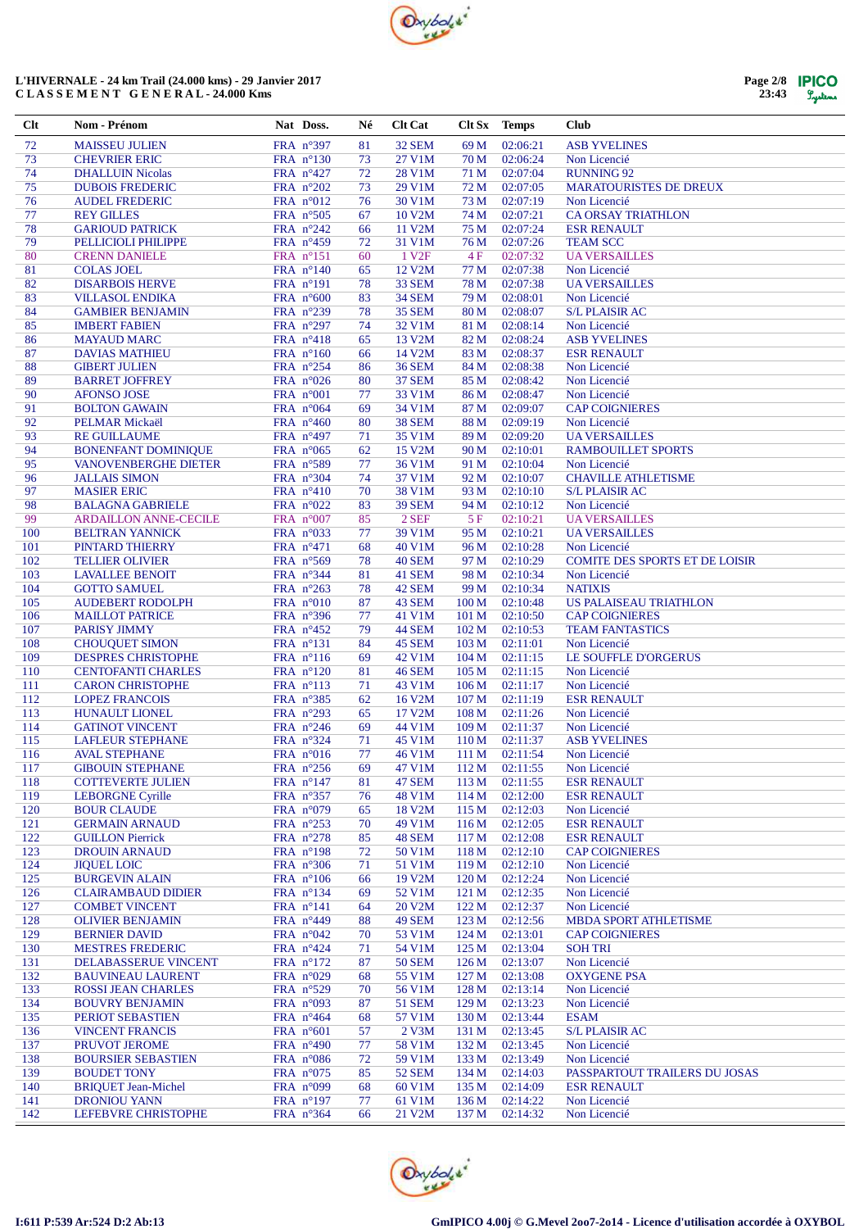



| $Cl$ t     | Nom - Prénom                                         | Nat Doss.                                | Né       | <b>Clt Cat</b>                 |                           | Clt Sx Temps         | <b>Club</b>                              |
|------------|------------------------------------------------------|------------------------------------------|----------|--------------------------------|---------------------------|----------------------|------------------------------------------|
| 72         | <b>MAISSEU JULIEN</b>                                | FRA n°397                                | 81       | 32 SEM                         | 69 M                      | 02:06:21             | <b>ASB YVELINES</b>                      |
| 73         | <b>CHEVRIER ERIC</b>                                 | FRA $n^{\circ}130$                       | 73       | 27 V1M                         | 70 M                      | 02:06:24             | Non Licencié                             |
| 74         | <b>DHALLUIN Nicolas</b>                              | FRA $n^{\circ}427$                       | 72       | 28 V1M                         | 71 M                      | 02:07:04             | <b>RUNNING 92</b>                        |
| 75         | <b>DUBOIS FREDERIC</b>                               | FRA n°202                                | 73       | 29 V1M                         | 72 M                      | 02:07:05             | <b>MARATOURISTES DE DREUX</b>            |
| 76         | <b>AUDEL FREDERIC</b>                                | FRA $n^{\circ}012$                       | 76       | 30 V1M                         | 73 M                      | 02:07:19             | Non Licencié                             |
| 77         | <b>REY GILLES</b>                                    | FRA $n^{\circ}505$                       | 67       | 10 V2M                         | 74 M                      | 02:07:21             | <b>CA ORSAY TRIATHLON</b>                |
| 78<br>79   | <b>GARIOUD PATRICK</b><br>PELLICIOLI PHILIPPE        | FRA $n^{\circ}242$<br>FRA $n^{\circ}459$ | 66<br>72 | 11 V2M<br>31 V1M               | 75 M<br>76 M              | 02:07:24<br>02:07:26 | <b>ESR RENAULT</b><br><b>TEAM SCC</b>    |
| 80         | <b>CRENN DANIELE</b>                                 | FRA $n^{\circ}151$                       | 60       | 1 V <sub>2F</sub>              | 4F                        | 02:07:32             | <b>UA VERSAILLES</b>                     |
| 81         | <b>COLAS JOEL</b>                                    | FRA $n^{\circ}140$                       | 65       | 12 V2M                         | 77 M                      | 02:07:38             | Non Licencié                             |
| 82         | <b>DISARBOIS HERVE</b>                               | FRA n°191                                | 78       | 33 SEM                         | 78 M                      | 02:07:38             | <b>UA VERSAILLES</b>                     |
| 83         | <b>VILLASOL ENDIKA</b>                               | FRA $n^{\circ}600$                       | 83       | <b>34 SEM</b>                  | 79 M                      | 02:08:01             | Non Licencié                             |
| 84         | <b>GAMBIER BENJAMIN</b>                              | FRA $n^{\circ}239$                       | 78       | <b>35 SEM</b>                  | 80 M                      | 02:08:07             | <b>S/L PLAISIR AC</b>                    |
| 85         | <b>IMBERT FABIEN</b>                                 | FRA $n^{\circ}297$                       | 74       | 32 V1M                         | 81 M                      | 02:08:14             | Non Licencié                             |
| 86         | <b>MAYAUD MARC</b>                                   | FRA $n^{\circ}418$                       | 65       | 13 V2M                         | 82 M                      | 02:08:24             | <b>ASB YVELINES</b>                      |
| 87         | <b>DAVIAS MATHIEU</b>                                | FRA $n^{\circ}160$                       | 66       | 14 V2M                         | 83 M                      | 02:08:37             | <b>ESR RENAULT</b>                       |
| 88<br>89   | <b>GIBERT JULIEN</b><br><b>BARRET JOFFREY</b>        | FRA $n^{\circ}254$                       | 86<br>80 | <b>36 SEM</b><br><b>37 SEM</b> | 84 M<br>85 M              | 02:08:38<br>02:08:42 | Non Licencié<br>Non Licencié             |
| 90         | <b>AFONSO JOSE</b>                                   | FRA $n^{\circ}026$<br>FRA $n^{\circ}001$ | 77       | 33 V1M                         | 86 M                      | 02:08:47             | Non Licencié                             |
| 91         | <b>BOLTON GAWAIN</b>                                 | FRA $n^{\circ}064$                       | 69       | 34 V1M                         | 87 M                      | 02:09:07             | <b>CAP COIGNIERES</b>                    |
| 92         | PELMAR Mickaël                                       | FRA $n^{\circ}460$                       | 80       | <b>38 SEM</b>                  | 88 M                      | 02:09:19             | Non Licencié                             |
| 93         | <b>RE GUILLAUME</b>                                  | FRA $n^{\circ}497$                       | 71       | 35 V1M                         | 89 M                      | 02:09:20             | <b>UA VERSAILLES</b>                     |
| 94         | <b>BONENFANT DOMINIQUE</b>                           | FRA $n^{\circ}065$                       | 62       | 15 V2M                         | 90 M                      | 02:10:01             | <b>RAMBOUILLET SPORTS</b>                |
| 95         | <b>VANOVENBERGHE DIETER</b>                          | FRA $n^{\circ}589$                       | 77       | 36 V1M                         | 91 M                      | 02:10:04             | Non Licencié                             |
| 96         | <b>JALLAIS SIMON</b>                                 | FRA n°304                                | 74       | 37 V1M                         | 92 M                      | 02:10:07             | <b>CHAVILLE ATHLETISME</b>               |
| 97         | <b>MASIER ERIC</b>                                   | FRA $n^{\circ}410$                       | 70       | 38 V1M                         | 93 M                      | 02:10:10             | <b>S/L PLAISIR AC</b>                    |
| 98         | <b>BALAGNA GABRIELE</b>                              | FRA $n^{\circ}022$                       | 83       | <b>39 SEM</b>                  | 94 M                      | 02:10:12             | Non Licencié                             |
| 99<br>100  | <b>ARDAILLON ANNE-CECILE</b>                         | FRA $n^{\circ}007$<br>FRA $n^{\circ}033$ | 85       | 2 SEF<br>39 V1M                | 5F<br>95 M                | 02:10:21<br>02:10:21 | <b>UA VERSAILLES</b>                     |
| 101        | <b>BELTRAN YANNICK</b><br>PINTARD THIERRY            | FRA n°471                                | 77<br>68 | 40 V1M                         | 96 M                      | 02:10:28             | <b>UA VERSAILLES</b><br>Non Licencié     |
| 102        | <b>TELLIER OLIVIER</b>                               | FRA n°569                                | 78       | 40 SEM                         | 97 M                      | 02:10:29             | COMITE DES SPORTS ET DE LOISIR           |
| 103        | <b>LAVALLEE BENOIT</b>                               | FRA $n^{\circ}344$                       | 81       | 41 SEM                         | 98 M                      | 02:10:34             | Non Licencié                             |
| 104        | <b>GOTTO SAMUEL</b>                                  | FRA $n^{\circ}263$                       | 78       | 42 SEM                         | 99 M                      | 02:10:34             | <b>NATIXIS</b>                           |
| 105        | <b>AUDEBERT RODOLPH</b>                              | FRA $n^{\circ}010$                       | 87       | 43 SEM                         | 100 M                     | 02:10:48             | US PALAISEAU TRIATHLON                   |
| 106        | <b>MAILLOT PATRICE</b>                               | FRA n°396                                | 77       | 41 V1M                         | 101 M                     | 02:10:50             | <b>CAP COIGNIERES</b>                    |
| 107        | <b>PARISY JIMMY</b>                                  | FRA n°452                                | 79       | 44 SEM                         | 102 <sub>M</sub>          | 02:10:53             | <b>TEAM FANTASTICS</b>                   |
| 108        | <b>CHOUQUET SIMON</b>                                | FRA n°131                                | 84       | 45 SEM                         | 103 M                     | 02:11:01             | Non Licencié                             |
| 109        | <b>DESPRES CHRISTOPHE</b>                            | FRA $n^{\circ}116$                       | 69       | 42 V1M                         | 104 M                     | 02:11:15             | LE SOUFFLE D'ORGERUS                     |
| 110<br>111 | <b>CENTOFANTI CHARLES</b><br><b>CARON CHRISTOPHE</b> | FRA $n^{\circ}120$<br>FRA $n^{\circ}113$ | 81<br>71 | <b>46 SEM</b><br>43 V1M        | 105 M<br>106 <sub>M</sub> | 02:11:15<br>02:11:17 | Non Licencié<br>Non Licencié             |
| 112        | <b>LOPEZ FRANCOIS</b>                                | FRA $n^{\circ}385$                       | 62       | 16 V2M                         | 107 <sub>M</sub>          | 02:11:19             | <b>ESR RENAULT</b>                       |
| 113        | <b>HUNAULT LIONEL</b>                                | FRA n°293                                | 65       | 17 V2M                         | 108 M                     | 02:11:26             | Non Licencié                             |
| 114        | <b>GATINOT VINCENT</b>                               | FRA $n^{\circ}246$                       | 69       | 44 V1M                         | 109 <sub>M</sub>          | 02:11:37             | Non Licencié                             |
| 115        | <b>LAFLEUR STEPHANE</b>                              | FRA $n^{\circ}324$                       | 71       | 45 V1M                         | 110 M                     | 02:11:37             | <b>ASB YVELINES</b>                      |
| 116        | <b>AVAL STEPHANE</b>                                 | FRA $n^{\circ}016$                       | 77       | 46 V1M                         | 111 M                     | 02:11:54             | Non Licencié                             |
| 117        | <b>GIBOUIN STEPHANE</b>                              | FRA $n^{\circ}256$                       | 69       | 47 V1M                         | 112M                      | 02:11:55             | Non Licencié                             |
| 118        | <b>COTTEVERTE JULIEN</b>                             | FRA n°147                                | 81       | 47 SEM                         | 113 M                     | 02:11:55             | <b>ESR RENAULT</b>                       |
| 119        | <b>LEBORGNE Cyrille</b>                              | FRA $n^{\circ}357$                       | 76       | 48 V1M                         | 114 M                     | 02:12:00             | <b>ESR RENAULT</b>                       |
| 120        | <b>BOUR CLAUDE</b>                                   | FRA $n°079$                              | 65       | 18 V2M                         | 115 M                     | 02:12:03             | Non Licencié                             |
| 121<br>122 | <b>GERMAIN ARNAUD</b><br><b>GUILLON Pierrick</b>     | FRA n°253<br>FRA $n^{\circ}278$          | 70<br>85 | 49 V1M<br>48 SEM               | 116 M<br>117 <sub>M</sub> | 02:12:05<br>02:12:08 | <b>ESR RENAULT</b><br><b>ESR RENAULT</b> |
| 123        | <b>DROUIN ARNAUD</b>                                 | FRA $n^{\circ}198$                       | 72       | 50 V1M                         | 118 M                     | 02:12:10             | <b>CAP COIGNIERES</b>                    |
| 124        | <b>JIQUEL LOIC</b>                                   | FRA n°306                                | 71       | 51 V1M                         | 119 <sub>M</sub>          | 02:12:10             | Non Licencié                             |
| 125        | <b>BURGEVIN ALAIN</b>                                | FRA $n^{\circ}106$                       | 66       | 19 V2M                         | 120 <sub>M</sub>          | 02:12:24             | Non Licencié                             |
| 126        | <b>CLAIRAMBAUD DIDIER</b>                            | FRA $n^{\circ}134$                       | 69       | 52 V1M                         | 121 <sub>M</sub>          | 02:12:35             | Non Licencié                             |
| 127        | <b>COMBET VINCENT</b>                                | FRA n°141                                | 64       | 20 V2M                         | 122 M                     | 02:12:37             | Non Licencié                             |
| 128        | <b>OLIVIER BENJAMIN</b>                              | FRA n°449                                | 88       | 49 SEM                         | 123 M                     | 02:12:56             | <b>MBDA SPORT ATHLETISME</b>             |
| 129        | <b>BERNIER DAVID</b>                                 | FRA $n^{\circ}042$                       | 70       | 53 V1M                         | 124M                      | 02:13:01             | <b>CAP COIGNIERES</b>                    |
| 130        | <b>MESTRES FREDERIC</b>                              | FRA n°424                                | 71       | 54 V1M                         | 125 M                     | 02:13:04             | <b>SOH TRI</b>                           |
| 131<br>132 | DELABASSERUE VINCENT<br><b>BAUVINEAU LAURENT</b>     | FRA $n^{\circ}172$<br>FRA n°029          | 87<br>68 | <b>50 SEM</b><br>55 V1M        | 126 <sub>M</sub><br>127 M | 02:13:07<br>02:13:08 | Non Licencié<br><b>OXYGENE PSA</b>       |
| 133        | ROSSI JEAN CHARLES                                   | FRA $n^{\circ}529$                       | 70       | 56 V1M                         | 128 M                     | 02:13:14             | Non Licencié                             |
| 134        | <b>BOUVRY BENJAMIN</b>                               | FRA $n^{\circ}093$                       | 87       | <b>51 SEM</b>                  | 129 <sub>M</sub>          | 02:13:23             | Non Licencié                             |
| 135        | PERIOT SEBASTIEN                                     | FRA $n^{\circ}464$                       | 68       | 57 V1M                         | 130 <sub>M</sub>          | 02:13:44             | <b>ESAM</b>                              |
| 136        | <b>VINCENT FRANCIS</b>                               | FRA $n^{\circ}601$                       | 57       | 2 V3M                          | 131 M                     | 02:13:45             | <b>S/L PLAISIR AC</b>                    |
| 137        | PRUVOT JEROME                                        | FRA n°490                                | 77       | 58 V1M                         | 132 M                     | 02:13:45             | Non Licencié                             |
| 138        | <b>BOURSIER SEBASTIEN</b>                            | FRA $n^{\circ}086$                       | 72       | 59 V1M                         | 133 M                     | 02:13:49             | Non Licencié                             |
| 139        | <b>BOUDET TONY</b>                                   | FRA $n^{\circ}075$                       | 85       | <b>52 SEM</b>                  | 134 M                     | 02:14:03             | PASSPARTOUT TRAILERS DU JOSAS            |
| 140        | <b>BRIQUET Jean-Michel</b>                           | FRA $n^{\circ}099$                       | 68       | 60 V1M                         | 135 M                     | 02:14:09             | <b>ESR RENAULT</b>                       |
| 141        | <b>DRONIOU YANN</b>                                  | FRA $n^{\circ}197$                       | 77       | 61 V1M                         | 136M                      | 02:14:22             | Non Licencié                             |
| 142        | LEFEBVRE CHRISTOPHE                                  | FRA n°364                                | 66       | 21 V2M                         | 137 <sub>M</sub>          | 02:14:32             | Non Licencié                             |

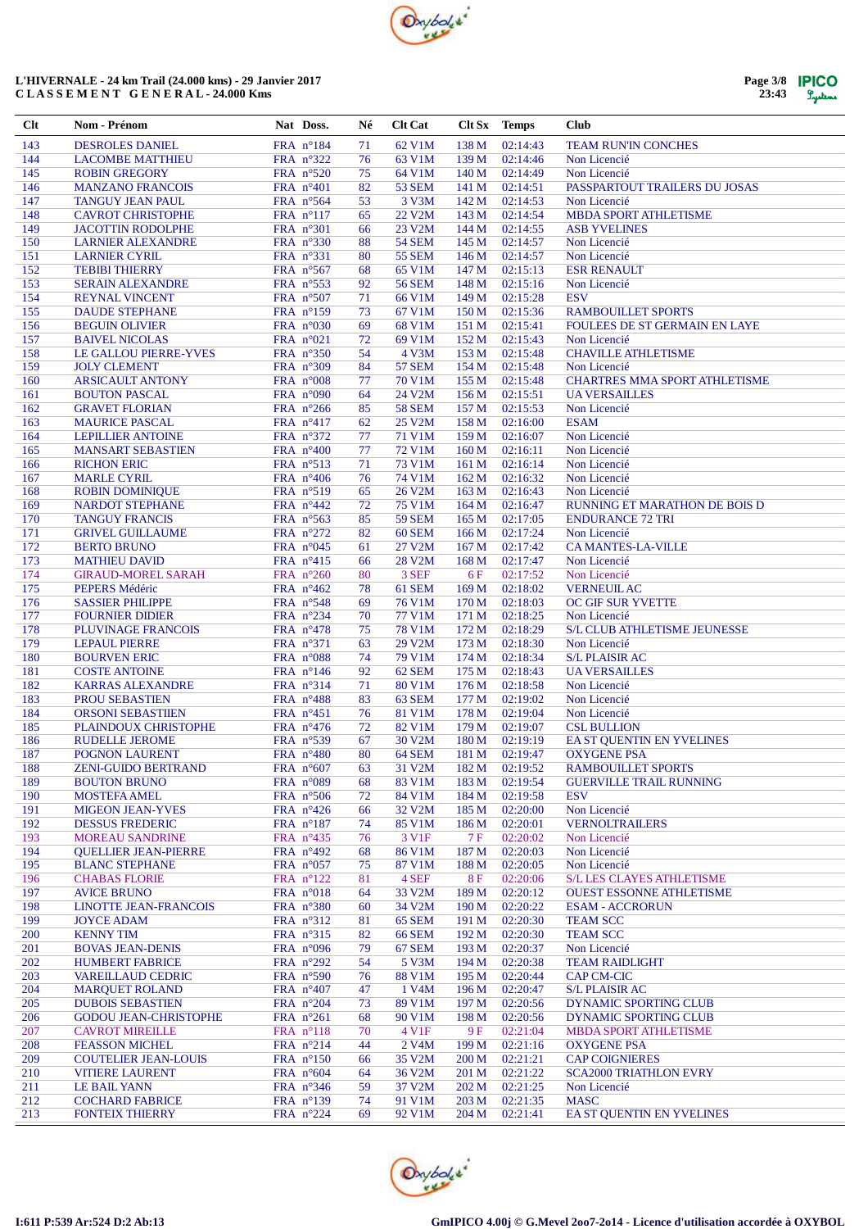

| Page 3/8 | <b>IPICO</b> |
|----------|--------------|
| 23:43    | Lystems      |

| Clt        | Nom - Prénom                                            | Nat Doss.                                | Né       | <b>Clt Cat</b>                 | Clt Sx Temps   |                      | <b>Club</b>                                           |
|------------|---------------------------------------------------------|------------------------------------------|----------|--------------------------------|----------------|----------------------|-------------------------------------------------------|
| 143        | <b>DESROLES DANIEL</b>                                  | FRA n°184                                | 71       | 62 V1M                         | 138 M          | 02:14:43             | <b>TEAM RUN'IN CONCHES</b>                            |
| 144        | <b>LACOMBE MATTHIEU</b>                                 | FRA n°322                                | 76       | 63 V1M                         | 139 M          | 02:14:46             | Non Licencié                                          |
| 145        | <b>ROBIN GREGORY</b>                                    | FRA $n^{\circ}520$                       | 75       | 64 V1M                         | 140 M          | 02:14:49             | Non Licencié                                          |
| 146        | <b>MANZANO FRANCOIS</b>                                 | FRA n°401                                | 82       | <b>53 SEM</b>                  | 141 M          | 02:14:51             | PASSPARTOUT TRAILERS DU JOSAS                         |
| 147        | <b>TANGUY JEAN PAUL</b>                                 | FRA $n^{\circ}$ 564                      | 53       | 3 V3M                          | 142 M          | 02:14:53             | Non Licencié                                          |
| 148        | <b>CAVROT CHRISTOPHE</b>                                | FRA $n^{\circ}117$                       | 65       | 22 V2M                         | 143 M          | 02:14:54             | <b>MBDA SPORT ATHLETISME</b>                          |
| 149        | <b>JACOTTIN RODOLPHE</b>                                | FRA $n^{\circ}301$                       | 66       | 23 V2M                         | 144 M          | 02:14:55             | <b>ASB YVELINES</b>                                   |
| 150<br>151 | <b>LARNIER ALEXANDRE</b><br><b>LARNIER CYRIL</b>        | FRA $n^{\circ}330$<br>FRA $n^{\circ}331$ | 88<br>80 | <b>54 SEM</b><br><b>55 SEM</b> | 145 M<br>146 M | 02:14:57<br>02:14:57 | Non Licencié<br>Non Licencié                          |
| 152        | <b>TEBIBI THIERRY</b>                                   | FRA n°567                                | 68       | 65 V1M                         | 147 M          | 02:15:13             | <b>ESR RENAULT</b>                                    |
| 153        | <b>SERAIN ALEXANDRE</b>                                 | FRA nº553                                | 92       | <b>56 SEM</b>                  | 148 M          | 02:15:16             | Non Licencié                                          |
| 154        | <b>REYNAL VINCENT</b>                                   | FRA n°507                                | 71       | 66 V1M                         | 149 M          | 02:15:28             | <b>ESV</b>                                            |
| 155        | <b>DAUDE STEPHANE</b>                                   | FRA $n^{\circ}159$                       | 73       | 67 V1M                         | 150 M          | 02:15:36             | <b>RAMBOUILLET SPORTS</b>                             |
| 156        | <b>BEGUIN OLIVIER</b>                                   | FRA $n^{\circ}030$                       | 69       | 68 V1M                         | 151 M          | 02:15:41             | FOULEES DE ST GERMAIN EN LAYE                         |
| 157        | <b>BAIVEL NICOLAS</b>                                   | FRA $n^{\circ}021$                       | 72       | 69 V1M                         | 152 M          | 02:15:43             | Non Licencié                                          |
| 158        | LE GALLOU PIERRE-YVES                                   | FRA n°350                                | 54       | 4 V3M                          | 153 M          | 02:15:48             | <b>CHAVILLE ATHLETISME</b>                            |
| 159        | <b>JOLY CLEMENT</b>                                     | FRA $n^{\circ}309$                       | 84       | <b>57 SEM</b>                  | 154 M          | 02:15:48             | Non Licencié                                          |
| 160<br>161 | <b>ARSICAULT ANTONY</b>                                 | FRA $n^{\circ}008$                       | 77       | 70 V1M<br>24 V2M               | 155 M<br>156 M | 02:15:48<br>02:15:51 | <b>CHARTRES MMA SPORT ATHLETISME</b>                  |
| 162        | <b>BOUTON PASCAL</b><br><b>GRAVET FLORIAN</b>           | FRA $n^{\circ}090$<br>FRA $n^{\circ}266$ | 64<br>85 | <b>58 SEM</b>                  | 157 M          | 02:15:53             | <b>UA VERSAILLES</b><br>Non Licencié                  |
| 163        | <b>MAURICE PASCAL</b>                                   | FRA $n^{\circ}417$                       | 62       | 25 V2M                         | 158 M          | 02:16:00             | <b>ESAM</b>                                           |
| 164        | <b>LEPILLIER ANTOINE</b>                                | FRA n°372                                | 77       | 71 V1M                         | 159 M          | 02:16:07             | Non Licencié                                          |
| 165        | <b>MANSART SEBASTIEN</b>                                | FRA $n^{\circ}400$                       | 77       | 72 V1M                         | 160 M          | 02:16:11             | Non Licencié                                          |
| 166        | <b>RICHON ERIC</b>                                      | FRA $n^{\circ}513$                       | 71       | 73 V1M                         | 161 M          | 02:16:14             | Non Licencié                                          |
| 167        | <b>MARLE CYRIL</b>                                      | FRA $n^{\circ}406$                       | 76       | 74 V1M                         | 162 M          | 02:16:32             | Non Licencié                                          |
| 168        | <b>ROBIN DOMINIQUE</b>                                  | FRA n°519                                | 65       | 26 V2M                         | 163 M          | 02:16:43             | Non Licencié                                          |
| 169        | <b>NARDOT STEPHANE</b>                                  | FRA $n^{\circ}442$                       | 72       | 75 V1M                         | 164 M          | 02:16:47             | RUNNING ET MARATHON DE BOIS D                         |
| 170        | <b>TANGUY FRANCIS</b>                                   | FRA $n^{\circ}563$                       | 85       | <b>59 SEM</b>                  | 165 M          | 02:17:05             | <b>ENDURANCE 72 TRI</b>                               |
| 171        | <b>GRIVEL GUILLAUME</b>                                 | FRA n°272                                | 82       | <b>60 SEM</b>                  | 166 M          | 02:17:24             | Non Licencié                                          |
| 172        | <b>BERTO BRUNO</b>                                      | FRA $n^{\circ}045$                       | 61       | 27 V2M                         | 167 M          | 02:17:42             | <b>CA MANTES-LA-VILLE</b>                             |
| 173<br>174 | <b>MATHIEU DAVID</b><br><b>GIRAUD-MOREL SARAH</b>       | FRA $n^{\circ}415$<br>FRA n°260          | 66<br>80 | 28 V2M<br>3 SEF                | 168 M<br>6F    | 02:17:47<br>02:17:52 | Non Licencié<br>Non Licencié                          |
| 175        | PEPERS Médéric                                          | FRA $n^{\circ}462$                       | 78       | 61 SEM                         | 169 M          | 02:18:02             | <b>VERNEUIL AC</b>                                    |
| 176        | <b>SASSIER PHILIPPE</b>                                 | FRA $n^{\circ}548$                       | 69       | 76 V1M                         | 170 M          | 02:18:03             | OC GIF SUR YVETTE                                     |
| 177        | <b>FOURNIER DIDIER</b>                                  | FRA $n^{\circ}234$                       | 70       | 77 V1M                         | 171 M          | 02:18:25             | Non Licencié                                          |
| 178        | PLUVINAGE FRANCOIS                                      | FRA $n^{\circ}478$                       | 75       | <b>78 V1M</b>                  | 172 M          | 02:18:29             | <b>S/L CLUB ATHLETISME JEUNESSE</b>                   |
| 179        | <b>LEPAUL PIERRE</b>                                    | FRA $n^{\circ}371$                       | 63       | 29 V2M                         | 173 M          | 02:18:30             | Non Licencié                                          |
| 180        | <b>BOURVEN ERIC</b>                                     | FRA $n^{\circ}088$                       | 74       | 79 V1M                         | 174 M          | 02:18:34             | <b>S/L PLAISIR AC</b>                                 |
| 181        | <b>COSTE ANTOINE</b>                                    | FRA $n^{\circ}146$                       | 92       | 62 SEM                         | 175 M          | 02:18:43             | <b>UA VERSAILLES</b>                                  |
| 182        | <b>KARRAS ALEXANDRE</b>                                 | FRA $n^{\circ}314$                       | 71       | 80 V1M                         | 176 M          | 02:18:58             | Non Licencié                                          |
| 183<br>184 | PROU SEBASTIEN<br><b>ORSONI SEBASTIIEN</b>              | FRA n°488<br>FRA n°451                   | 83<br>76 | 63 SEM<br>81 V1M               | 177 M<br>178 M | 02:19:02<br>02:19:04 | Non Licencié<br>Non Licencié                          |
| 185        | PLAINDOUX CHRISTOPHE                                    | FRA $n^{\circ}476$                       | 72       | 82 V1M                         | 179 M          | 02:19:07             | <b>CSL BULLION</b>                                    |
| 186        | <b>RUDELLE JEROME</b>                                   | FRA n°539                                | 67       | 30 V2M                         | 180 M          | 02:19:19             | EA ST OUENTIN EN YVELINES                             |
| 187        | POGNON LAURENT                                          | FRA $n^{\circ}480$                       | 80       | 64 SEM                         | 181 M          | 02:19:47             | <b>OXYGENE PSA</b>                                    |
| 188        | <b>ZENI-GUIDO BERTRAND</b>                              | FRA n°607                                | 63       | 31 V2M                         | 182 M          | 02:19:52             | <b>RAMBOUILLET SPORTS</b>                             |
| 189        | <b>BOUTON BRUNO</b>                                     | FRA n°089                                | 68       | 83 V1M                         | 183 M          | 02:19:54             | <b>GUERVILLE TRAIL RUNNING</b>                        |
| 190        | <b>MOSTEFA AMEL</b>                                     | FRA n°506                                | 72       | 84 V1M                         | 184 M          | 02:19:58             | <b>ESV</b>                                            |
| 191        | <b>MIGEON JEAN-YVES</b>                                 | FRA n°426                                | 66       | 32 V <sub>2</sub> M            | 185 M          | 02:20:00             | Non Licencié                                          |
| 192        | <b>DESSUS FREDERIC</b>                                  | FRA n°187                                | 74       | 85 V1M                         | 186 M          | 02:20:01             | <b>VERNOLTRAILERS</b>                                 |
| 193<br>194 | <b>MOREAU SANDRINE</b>                                  | FRA $n^{\circ}435$<br>FRA n°492          | 76       | 3 V1F                          | 7F             | 02:20:02<br>02:20:03 | Non Licencié                                          |
| 195        | <b>QUELLIER JEAN-PIERRE</b><br><b>BLANC STEPHANE</b>    | FRA $n^{\circ}057$                       | 68<br>75 | 86 V1M<br>87 V1M               | 187 M<br>188 M | 02:20:05             | Non Licencié<br>Non Licencié                          |
| 196        | <b>CHABAS FLORIE</b>                                    | FRA n°122                                | 81       | 4 SEF                          | 8F             | 02:20:06             | <b>S/L LES CLAYES ATHLETISME</b>                      |
| 197        | <b>AVICE BRUNO</b>                                      | FRA $n^{\circ}018$                       | 64       | 33 V2M                         | 189 M          | 02:20:12             | <b>OUEST ESSONNE ATHLETISME</b>                       |
| 198        | LINOTTE JEAN-FRANCOIS                                   | FRA n°380                                | 60       | 34 V2M                         | 190 M          | 02:20:22             | <b>ESAM - ACCRORUN</b>                                |
| 199        | <b>JOYCE ADAM</b>                                       | FRA n°312                                | 81       | 65 SEM                         | 191 M          | 02:20:30             | <b>TEAM SCC</b>                                       |
| 200        | <b>KENNY TIM</b>                                        | FRA $n^{\circ}315$                       | 82       | <b>66 SEM</b>                  | 192 M          | 02:20:30             | <b>TEAM SCC</b>                                       |
| 201        | <b>BOVAS JEAN-DENIS</b>                                 | FRA $n^{\circ}096$                       | 79       | <b>67 SEM</b>                  | 193 M          | 02:20:37             | Non Licencié                                          |
| 202        | <b>HUMBERT FABRICE</b>                                  | FRA n°292                                | 54       | 5 V3M                          | 194 M          | 02:20:38             | <b>TEAM RAIDLIGHT</b>                                 |
| 203        | <b>VAREILLAUD CEDRIC</b>                                | FRA n°590                                | 76       | <b>88 V1M</b>                  | 195 M          | 02:20:44             | CAP CM-CIC                                            |
| 204        | <b>MARQUET ROLAND</b>                                   | FRA $n^{\circ}407$                       | 47       | 1 V4M                          | 196 M          | 02:20:47             | <b>S/L PLAISIR AC</b>                                 |
| 205<br>206 | <b>DUBOIS SEBASTIEN</b><br><b>GODOU JEAN-CHRISTOPHE</b> | FRA n°204<br>FRA $n^{\circ}261$          | 73<br>68 | 89 V1M<br>90 V1M               | 197 M<br>198 M | 02:20:56<br>02:20:56 | DYNAMIC SPORTING CLUB<br><b>DYNAMIC SPORTING CLUB</b> |
| 207        | <b>CAVROT MIREILLE</b>                                  | FRA $n^{\circ}118$                       | 70       | 4 V1F                          | 9 F            | 02:21:04             | <b>MBDA SPORT ATHLETISME</b>                          |
| 208        | <b>FEASSON MICHEL</b>                                   | FRA n°214                                | 44       | 2 V <sub>4</sub> M             | 199 M          | 02:21:16             | <b>OXYGENE PSA</b>                                    |
| 209        | <b>COUTELIER JEAN-LOUIS</b>                             | FRA n°150                                | 66       | 35 V2M                         | 200 M          | 02:21:21             | <b>CAP COIGNIERES</b>                                 |
| 210        | <b>VITIERE LAURENT</b>                                  | FRA $n^{\circ}604$                       | 64       | 36 V2M                         | 201 M          | 02:21:22             | <b>SCA2000 TRIATHLON EVRY</b>                         |
| 211        | LE BAIL YANN                                            | FRA n°346                                | 59       | 37 V2M                         | 202 M          | 02:21:25             | Non Licencié                                          |
| 212        | <b>COCHARD FABRICE</b>                                  | FRA $n^{\circ}139$                       | 74       | 91 V1M                         | 203 M          | 02:21:35             | <b>MASC</b>                                           |
| 213        | <b>FONTEIX THIERRY</b>                                  | FRA $n^{\circ}224$                       | 69       | 92 V1M                         | 204 M          | 02:21:41             | EA ST QUENTIN EN YVELINES                             |

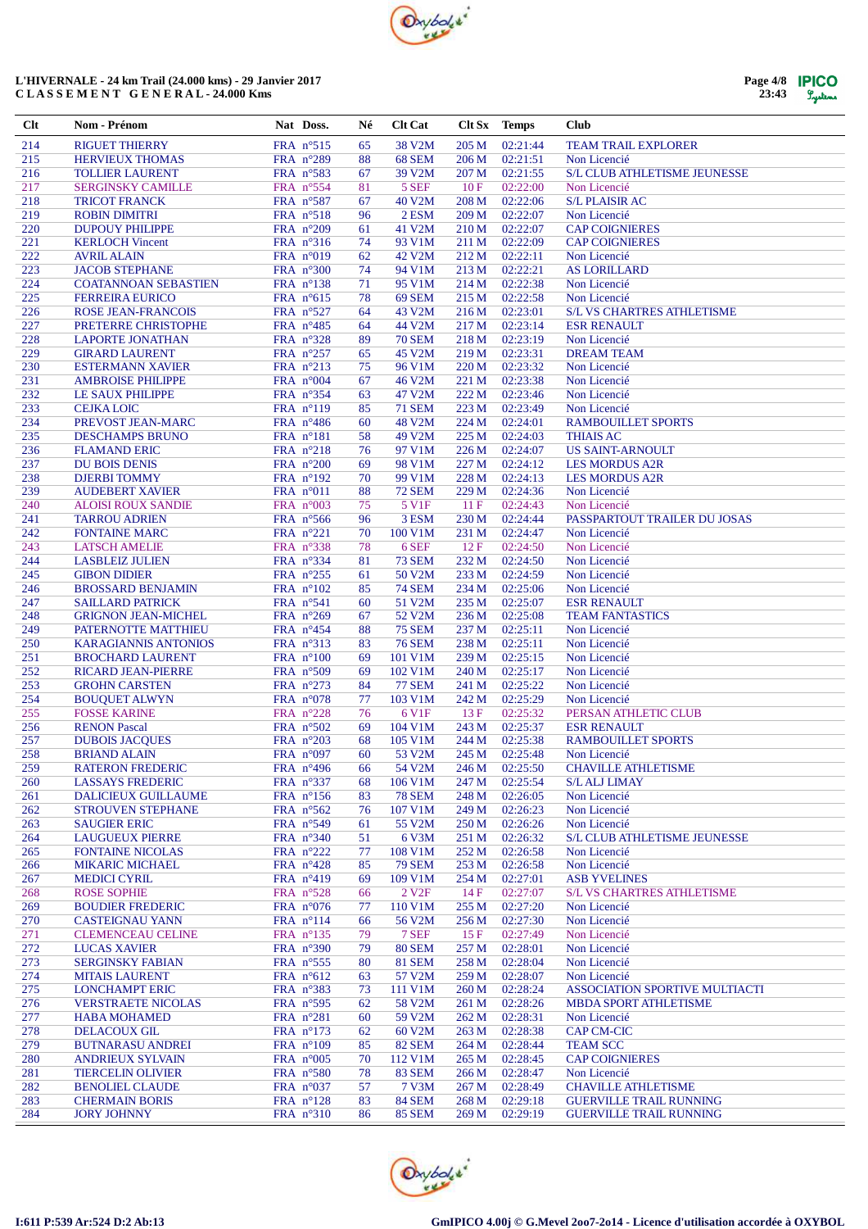

| Page 4/8 | <b>IPICO</b> |
|----------|--------------|
| 23:43    | Lystems      |

| $Cl$ t     | Nom - Prénom                                      | Nat Doss.                                | Né       | <b>Clt Cat</b>           | Clt Sx         | <b>Temps</b>         | <b>Club</b>                                         |
|------------|---------------------------------------------------|------------------------------------------|----------|--------------------------|----------------|----------------------|-----------------------------------------------------|
| 214        | <b>RIGUET THIERRY</b>                             | FRA n°515                                | 65       | 38 V2M                   | 205 M          | 02:21:44             | <b>TEAM TRAIL EXPLORER</b>                          |
| 215        | <b>HERVIEUX THOMAS</b>                            | FRA n°289                                | 88       | <b>68 SEM</b>            | 206 M          | 02:21:51             | Non Licencié                                        |
| 216        | <b>TOLLIER LAURENT</b>                            | FRA $n^{\circ}583$                       | 67       | 39 V2M                   | 207 M          | 02:21:55             | <b>S/L CLUB ATHLETISME JEUNESSE</b>                 |
| 217        | <b>SERGINSKY CAMILLE</b>                          | FRA $n^{\circ}554$                       | 81       | 5 SEF                    | 10F            | 02:22:00             | Non Licencié                                        |
| 218        | <b>TRICOT FRANCK</b>                              | FRA $n^{\circ}587$                       | 67       | 40 V2M                   | 208 M          | 02:22:06             | <b>S/L PLAISIR AC</b>                               |
| 219        | <b>ROBIN DIMITRI</b>                              | FRA $n^{\circ}518$                       | 96       | 2 ESM                    | 209 M          | 02:22:07             | Non Licencié                                        |
| 220<br>221 | <b>DUPOUY PHILIPPE</b><br><b>KERLOCH Vincent</b>  | FRA $n^{\circ}209$<br>FRA $n^{\circ}316$ | 61<br>74 | 41 V2M<br>93 V1M         | 210 M<br>211 M | 02:22:07<br>02:22:09 | <b>CAP COIGNIERES</b><br><b>CAP COIGNIERES</b>      |
| 222        | <b>AVRIL ALAIN</b>                                | FRA $n^{\circ}019$                       | 62       | 42 V2M                   | 212 M          | 02:22:11             | Non Licencié                                        |
| 223        | <b>JACOB STEPHANE</b>                             | FRA $n^{\circ}300$                       | 74       | 94 V1M                   | 213 M          | 02:22:21             | <b>AS LORILLARD</b>                                 |
| 224        | <b>COATANNOAN SEBASTIEN</b>                       | FRA $n^{\circ}138$                       | 71       | 95 V1M                   | 214 M          | 02:22:38             | Non Licencié                                        |
| 225        | <b>FERREIRA EURICO</b>                            | FRA $n^{\circ}615$                       | 78       | <b>69 SEM</b>            | 215 M          | 02:22:58             | Non Licencié                                        |
| 226        | <b>ROSE JEAN-FRANCOIS</b>                         | FRA n°527                                | 64       | 43 V2M                   | 216 M          | 02:23:01             | <b>S/L VS CHARTRES ATHLETISME</b>                   |
| 227        | PRETERRE CHRISTOPHE                               | FRA $n^{\circ}485$                       | 64       | 44 V2M                   | 217 M          | 02:23:14             | <b>ESR RENAULT</b>                                  |
| 228        | <b>LAPORTE JONATHAN</b>                           | FRA n°328                                | 89       | <b>70 SEM</b>            | 218 M          | 02:23:19             | Non Licencié                                        |
| 229        | <b>GIRARD LAURENT</b>                             | FRA $n^{\circ}257$                       | 65       | 45 V2M                   | 219 M          | 02:23:31             | <b>DREAM TEAM</b>                                   |
| 230        | <b>ESTERMANN XAVIER</b>                           | FRA $n^{\circ}213$                       | 75       | 96 V1M                   | 220 M          | 02:23:32             | Non Licencié                                        |
| 231<br>232 | <b>AMBROISE PHILIPPE</b><br>LE SAUX PHILIPPE      | FRA $n°004$<br>FRA $n^{\circ}354$        | 67<br>63 | 46 V2M<br>47 V2M         | 221 M<br>222 M | 02:23:38<br>02:23:46 | Non Licencié<br>Non Licencié                        |
| 233        | <b>CEJKA LOIC</b>                                 | FRA $n^{\circ}119$                       | 85       | <b>71 SEM</b>            | 223 M          | 02:23:49             | Non Licencié                                        |
| 234        | PREVOST JEAN-MARC                                 | FRA $n^{\circ}486$                       | 60       | 48 V2M                   | 224 M          | 02:24:01             | <b>RAMBOUILLET SPORTS</b>                           |
| 235        | <b>DESCHAMPS BRUNO</b>                            | FRA $n^{\circ}181$                       | 58       | 49 V2M                   | 225 M          | 02:24:03             | <b>THIAIS AC</b>                                    |
| 236        | <b>FLAMAND ERIC</b>                               | FRA n°218                                | 76       | 97 V1M                   | 226 M          | 02:24:07             | <b>US SAINT-ARNOULT</b>                             |
| 237        | <b>DU BOIS DENIS</b>                              | FRA $n^{\circ}200$                       | 69       | 98 V1M                   | 227 M          | 02:24:12             | <b>LES MORDUS A2R</b>                               |
| 238        | <b>DJERBI TOMMY</b>                               | FRA $n^{\circ}192$                       | 70       | 99 V1M                   | 228 M          | 02:24:13             | <b>LES MORDUS A2R</b>                               |
| 239        | <b>AUDEBERT XAVIER</b>                            | FRA $n^{\circ}011$                       | 88       | <b>72 SEM</b>            | 229 M          | 02:24:36             | Non Licencié                                        |
| 240        | <b>ALOISI ROUX SANDIE</b>                         | FRA $n^{\circ}003$                       | 75       | 5 V1F                    | 11F            | 02:24:43             | Non Licencié                                        |
| 241        | <b>TARROU ADRIEN</b>                              | FRA $n^{\circ}$ 566                      | 96       | 3 ESM                    | 230 M          | 02:24:44             | PASSPARTOUT TRAILER DU JOSAS                        |
| 242<br>243 | <b>FONTAINE MARC</b><br><b>LATSCH AMELIE</b>      | FRA n°221<br>FRA n°338                   | 70<br>78 | 100 V1M<br>6 SEF         | 231 M<br>12F   | 02:24:47<br>02:24:50 | Non Licencié<br>Non Licencié                        |
| 244        | <b>LASBLEIZ JULIEN</b>                            | FRA $n^{\circ}334$                       | 81       | <b>73 SEM</b>            | 232 M          | 02:24:50             | Non Licencié                                        |
| 245        | <b>GIBON DIDIER</b>                               | FRA n°255                                | 61       | 50 V2M                   | 233 M          | 02:24:59             | Non Licencié                                        |
| 246        | <b>BROSSARD BENJAMIN</b>                          | FRA $n^{\circ}102$                       | 85       | <b>74 SEM</b>            | 234 M          | 02:25:06             | Non Licencié                                        |
| 247        | <b>SAILLARD PATRICK</b>                           | FRA $n^{\circ}541$                       | 60       | 51 V2M                   | 235 M          | 02:25:07             | <b>ESR RENAULT</b>                                  |
| 248        | <b>GRIGNON JEAN-MICHEL</b>                        | FRA $n^{\circ}269$                       | 67       | 52 V2M                   | 236 M          | 02:25:08             | <b>TEAM FANTASTICS</b>                              |
| 249        | PATERNOTTE MATTHIEU                               | FRA $n^{\circ}454$                       | 88       | <b>75 SEM</b>            | 237 M          | 02:25:11             | Non Licencié                                        |
| 250        | <b>KARAGIANNIS ANTONIOS</b>                       | FRA $n^{\circ}313$                       | 83       | <b>76 SEM</b>            | 238 M          | 02:25:11             | Non Licencié                                        |
| 251        | <b>BROCHARD LAURENT</b>                           | FRA $n^{\circ}100$                       | 69       | 101 V1M                  | 239 M          | 02:25:15             | Non Licencié                                        |
| 252        | <b>RICARD JEAN-PIERRE</b>                         | FRA $n^{\circ}509$                       | 69       | 102 V1M                  | 240 M          | 02:25:17             | Non Licencié                                        |
| 253<br>254 | <b>GROHN CARSTEN</b><br><b>BOUQUET ALWYN</b>      | FRA $n^{\circ}273$<br>FRA $n^{\circ}078$ | 84<br>77 | <b>77 SEM</b><br>103 V1M | 241 M<br>242 M | 02:25:22<br>02:25:29 | Non Licencié<br>Non Licencié                        |
| 255        | <b>FOSSE KARINE</b>                               | FRA $n^{\circ}228$                       | 76       | 6 V1F                    | 13F            | 02:25:32             | PERSAN ATHLETIC CLUB                                |
| 256        | <b>RENON Pascal</b>                               | FRA n°502                                | 69       | 104 V1M                  | 243 M          | 02:25:37             | <b>ESR RENAULT</b>                                  |
| 257        | <b>DUBOIS JACQUES</b>                             | FRA $n^{\circ}203$                       | 68       | 105 V1M                  | 244 M          | 02:25:38             | <b>RAMBOUILLET SPORTS</b>                           |
| 258        | <b>BRIAND ALAIN</b>                               | FRA $n°097$                              | 60       | 53 V2M                   | 245 M          | 02:25:48             | Non Licencié                                        |
| 259        | <b>RATERON FREDERIC</b>                           | FRA $n^{\circ}496$                       | 66       | 54 V2M                   | 246 M          | 02:25:50             | <b>CHAVILLE ATHLETISME</b>                          |
| 260        | <b>LASSAYS FREDERIC</b>                           | FRA n°337                                | 68       | 106 V1M                  | 247 M          | 02:25:54             | <b>S/LALJ LIMAY</b>                                 |
| 261        | DALICIEUX GUILLAUME                               | FRA $n^{\circ}156$                       | 83       | <b>78 SEM</b>            | 248 M          | 02:26:05             | Non Licencié                                        |
| 262        | <b>STROUVEN STEPHANE</b>                          | FRA n°562                                | 76       | 107 V1M                  | 249 M          | 02:26:23             | Non Licencié                                        |
| 263        | <b>SAUGIER ERIC</b>                               | FRA $n^{\circ}549$                       | 61       | 55 V2M                   | 250 M          | 02:26:26             | Non Licencié                                        |
| 264<br>265 | <b>LAUGUEUX PIERRE</b><br><b>FONTAINE NICOLAS</b> | FRA n°340<br>FRA $n^{\circ}222$          | 51<br>77 | 6 V3M<br>108 V1M         | 251 M<br>252 M | 02:26:32<br>02:26:58 | <b>S/L CLUB ATHLETISME JEUNESSE</b><br>Non Licencié |
| 266        | <b>MIKARIC MICHAEL</b>                            | FRA $n^{\circ}428$                       | 85       | <b>79 SEM</b>            | 253 M          | 02:26:58             | Non Licencié                                        |
| 267        | <b>MEDICI CYRIL</b>                               | FRA $n^{\circ}419$                       | 69       | 109 V1M                  | 254 M          | 02:27:01             | <b>ASB YVELINES</b>                                 |
| 268        | <b>ROSE SOPHIE</b>                                | FRA $n^{\circ}528$                       | 66       | 2 V <sub>2F</sub>        | 14F            | 02:27:07             | <b>S/L VS CHARTRES ATHLETISME</b>                   |
| 269        | <b>BOUDIER FREDERIC</b>                           | FRA $n^{\circ}076$                       | 77       | 110 V1M                  | 255 M          | 02:27:20             | Non Licencié                                        |
| 270        | <b>CASTEIGNAU YANN</b>                            | FRA $n^{\circ}114$                       | 66       | 56 V2M                   | 256 M          | 02:27:30             | Non Licencié                                        |
| 271        | <b>CLEMENCEAU CELINE</b>                          | FRA $n^{\circ}$ 135                      | 79       | 7 SEF                    | 15F            | 02:27:49             | Non Licencié                                        |
| 272        | <b>LUCAS XAVIER</b>                               | FRA $n^{\circ}390$                       | 79       | <b>80 SEM</b>            | 257 M          | 02:28:01             | Non Licencié                                        |
| 273        | <b>SERGINSKY FABIAN</b>                           | FRA $n^{\circ}$ 555                      | 80       | <b>81 SEM</b>            | 258 M          | 02:28:04             | Non Licencié                                        |
| 274        | <b>MITAIS LAURENT</b>                             | FRA $n^{\circ}612$                       | 63       | 57 V2M                   | 259 M          | 02:28:07             | Non Licencié                                        |
| 275<br>276 | <b>LONCHAMPT ERIC</b>                             | FRA $n^{\circ}383$                       | 73       | 111 V1M                  | 260 M          | 02:28:24<br>02:28:26 | <b>ASSOCIATION SPORTIVE MULTIACTI</b>               |
| 277        | <b>VERSTRAETE NICOLAS</b><br><b>HABA MOHAMED</b>  | FRA $n^{\circ}$ 595<br>FRA n°281         | 62<br>60 | 58 V2M<br>59 V2M         | 261 M<br>262 M | 02:28:31             | <b>MBDA SPORT ATHLETISME</b><br>Non Licencié        |
| 278        | <b>DELACOUX GIL</b>                               | FRA $n^{\circ}173$                       | 62       | 60 V2M                   | 263 M          | 02:28:38             | CAP CM-CIC                                          |
| 279        | <b>BUTNARASU ANDREI</b>                           | FRA $n^{\circ}109$                       | 85       | <b>82 SEM</b>            | 264 M          | 02:28:44             | <b>TEAM SCC</b>                                     |
| 280        | <b>ANDRIEUX SYLVAIN</b>                           | FRA $n^{\circ}005$                       | 70       | 112 V1M                  | 265 M          | 02:28:45             | <b>CAP COIGNIERES</b>                               |
| 281        | <b>TIERCELIN OLIVIER</b>                          | FRA $n^{\circ}580$                       | 78       | <b>83 SEM</b>            | 266 M          | 02:28:47             | Non Licencié                                        |
| 282        | <b>BENOLIEL CLAUDE</b>                            | FRA $n^{\circ}037$                       | 57       | 7 V3M                    | 267 M          | 02:28:49             | <b>CHAVILLE ATHLETISME</b>                          |
| 283        | <b>CHERMAIN BORIS</b>                             | FRA $n^{\circ}128$                       | 83       | <b>84 SEM</b>            | 268 M          | 02:29:18             | <b>GUERVILLE TRAIL RUNNING</b>                      |
| 284        | <b>JORY JOHNNY</b>                                | FRA n°310                                | 86       | <b>85 SEM</b>            | 269 M          | 02:29:19             | <b>GUERVILLE TRAIL RUNNING</b>                      |

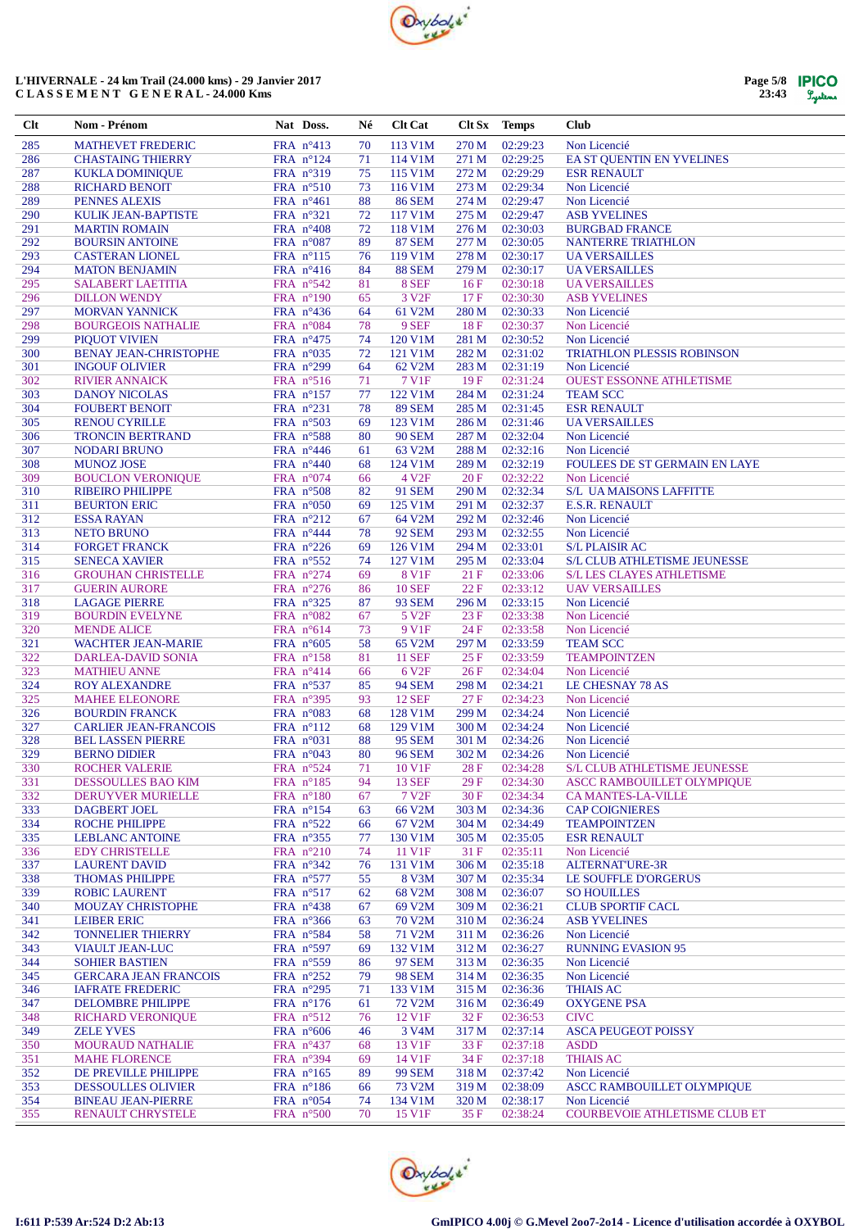

| Page 5/8 | <b>IPICO</b> |
|----------|--------------|
| 23:43    | Lystems      |

| Clt        | Nom - Prénom                                      | Nat Doss.                                | Né       | <b>Clt Cat</b>         |                  | Clt Sx Temps         | <b>Club</b>                                           |
|------------|---------------------------------------------------|------------------------------------------|----------|------------------------|------------------|----------------------|-------------------------------------------------------|
| 285        | <b>MATHEVET FREDERIC</b>                          | FRA $n^{\circ}413$                       | 70       | 113 V1M                | 270 M            | 02:29:23             | Non Licencié                                          |
| 286        | <b>CHASTAING THIERRY</b>                          | FRA $n^{\circ}124$                       | 71       | 114 V1M                | 271 M            | 02:29:25             | EA ST QUENTIN EN YVELINES                             |
| 287        | <b>KUKLA DOMINIQUE</b>                            | FRA $n^{\circ}319$                       | 75       | 115 V1M                | 272 M            | 02:29:29             | <b>ESR RENAULT</b>                                    |
| 288        | <b>RICHARD BENOIT</b>                             | FRA $n^{\circ}510$                       | 73       | 116 V1M                | 273 M            | 02:29:34             | Non Licencié                                          |
| 289        | PENNES ALEXIS                                     | FRA $n^{\circ}461$                       | 88       | <b>86 SEM</b>          | 274 M            | 02:29:47             | Non Licencié                                          |
| 290        | KULIK JEAN-BAPTISTE                               | FRA $n^{\circ}321$                       | 72       | 117 V1M                | 275 M            | 02:29:47             | <b>ASB YVELINES</b>                                   |
| 291        | <b>MARTIN ROMAIN</b>                              | FRA $n^{\circ}408$                       | 72       | 118 V1M                | 276 M            | 02:30:03             | <b>BURGBAD FRANCE</b>                                 |
| 292        | <b>BOURSIN ANTOINE</b>                            | FRA $n^{\circ}087$                       | 89       | <b>87 SEM</b>          | 277 M            | 02:30:05             | <b>NANTERRE TRIATHLON</b>                             |
| 293        | <b>CASTERAN LIONEL</b>                            | FRA $n^{\circ}115$                       | 76       | 119 V1M                | 278 M            | 02:30:17             | <b>UA VERSAILLES</b>                                  |
| 294<br>295 | <b>MATON BENJAMIN</b><br><b>SALABERT LAETITIA</b> | FRA $n^{\circ}416$                       | 84<br>81 | <b>88 SEM</b><br>8 SEF | 279 M<br>16F     | 02:30:17<br>02:30:18 | <b>UA VERSAILLES</b><br><b>UA VERSAILLES</b>          |
| 296        | <b>DILLON WENDY</b>                               | FRA $n^{\circ}542$<br>FRA $n^{\circ}190$ | 65       | 3 V <sub>2F</sub>      | 17F              | 02:30:30             | <b>ASB YVELINES</b>                                   |
| 297        | <b>MORVAN YANNICK</b>                             | FRA $n^{\circ}436$                       | 64       | 61 V2M                 | 280 M            | 02:30:33             | Non Licencié                                          |
| 298        | <b>BOURGEOIS NATHALIE</b>                         | FRA $n^{\circ}084$                       | 78       | 9 SEF                  | 18F              | 02:30:37             | Non Licencié                                          |
| 299        | <b>PIQUOT VIVIEN</b>                              | FRA $n^{\circ}475$                       | 74       | 120 V1M                | 281 M            | 02:30:52             | Non Licencié                                          |
| 300        | <b>BENAY JEAN-CHRISTOPHE</b>                      | FRA $n^{\circ}035$                       | 72       | 121 V1M                | 282 M            | 02:31:02             | TRIATHLON PLESSIS ROBINSON                            |
| 301        | <b>INGOUF OLIVIER</b>                             | FRA n°299                                | 64       | 62 V2M                 | 283 M            | 02:31:19             | Non Licencié                                          |
| 302        | <b>RIVIER ANNAICK</b>                             | FRA $n^{\circ}516$                       | 71       | 7 V1F                  | 19F              | 02:31:24             | <b>OUEST ESSONNE ATHLETISME</b>                       |
| 303        | <b>DANOY NICOLAS</b>                              | FRA $n^{\circ}157$                       | 77       | 122 V1M                | 284 M            | 02:31:24             | <b>TEAM SCC</b>                                       |
| 304        | <b>FOUBERT BENOIT</b>                             | FRA $n^{\circ}231$                       | 78       | <b>89 SEM</b>          | 285 M            | 02:31:45             | <b>ESR RENAULT</b>                                    |
| 305        | <b>RENOU CYRILLE</b>                              | FRA $n^{\circ}503$                       | 69       | 123 V1M                | 286 M            | 02:31:46             | <b>UA VERSAILLES</b>                                  |
| 306        | <b>TRONCIN BERTRAND</b>                           | FRA $n^{\circ}588$                       | 80       | <b>90 SEM</b>          | 287 M            | 02:32:04             | Non Licencié                                          |
| 307        | <b>NODARI BRUNO</b>                               | FRA $n^{\circ}446$                       | 61       | 63 V2M                 | 288 M            | 02:32:16             | Non Licencié                                          |
| 308        | <b>MUNOZ JOSE</b>                                 | FRA $n^{\circ}440$                       | 68       | 124 V1M                | 289 M            | 02:32:19             | FOULEES DE ST GERMAIN EN LAYE                         |
| 309        | <b>BOUCLON VERONIQUE</b>                          | FRA $n^{\circ}074$                       | 66       | 4 V <sub>2F</sub>      | 20F              | 02:32:22             | Non Licencié                                          |
| 310        | <b>RIBEIRO PHILIPPE</b>                           | FRA $n^{\circ}508$                       | 82       | 91 SEM                 | 290 M            | 02:32:34             | <b>S/L UAMAISONS LAFFITTE</b>                         |
| 311        | <b>BEURTON ERIC</b>                               | FRA $n^{\circ}050$                       | 69       | 125 V1M                | 291 M            | 02:32:37             | <b>E.S.R. RENAULT</b>                                 |
| 312        | <b>ESSA RAYAN</b>                                 | FRA $n^{\circ}212$                       | 67       | 64 V2M                 | 292 M            | 02:32:46             | Non Licencié                                          |
| 313        | <b>NETO BRUNO</b>                                 | FRA $n^{\circ}444$                       | 78       | <b>92 SEM</b>          | 293 M            | 02:32:55             | Non Licencié                                          |
| 314<br>315 | <b>FORGET FRANCK</b>                              | FRA $n^{\circ}226$                       | 69       | 126 V1M<br>127 V1M     | 294 M<br>295 M   | 02:33:01<br>02:33:04 | <b>S/L PLAISIR AC</b><br>S/L CLUB ATHLETISME JEUNESSE |
| 316        | <b>SENECA XAVIER</b><br><b>GROUHAN CHRISTELLE</b> | FRA $n^{\circ}552$                       | 74<br>69 | 8 V1F                  | 21F              | 02:33:06             | <b>S/L LES CLAYES ATHLETISME</b>                      |
| 317        | <b>GUERIN AURORE</b>                              | FRA $n^{\circ}274$<br>FRA $n^{\circ}276$ | 86       | <b>10 SEF</b>          | 22F              | 02:33:12             | <b>UAV VERSAILLES</b>                                 |
| 318        | <b>LAGAGE PIERRE</b>                              | FRA $n^{\circ}325$                       | 87       | <b>93 SEM</b>          | 296 M            | 02:33:15             | Non Licencié                                          |
| 319        | <b>BOURDIN EVELYNE</b>                            | FRA $n^{\circ}082$                       | 67       | 5 V <sub>2F</sub>      | 23F              | 02:33:38             | Non Licencié                                          |
| 320        | <b>MENDE ALICE</b>                                | FRA $n^{\circ}614$                       | 73       | 9 V1F                  | 24 F             | 02:33:58             | Non Licencié                                          |
| 321        | <b>WACHTER JEAN-MARIE</b>                         | FRA $n^{\circ}605$                       | 58       | 65 V2M                 | 297 M            | 02:33:59             | <b>TEAM SCC</b>                                       |
| 322        | DARLEA-DAVID SONIA                                | FRA $n^{\circ}158$                       | 81       | <b>11 SEF</b>          | 25F              | 02:33:59             | <b>TEAMPOINTZEN</b>                                   |
| 323        | <b>MATHIEU ANNE</b>                               | FRA $n^{\circ}414$                       | 66       | 6 V <sub>2F</sub>      | 26F              | 02:34:04             | Non Licencié                                          |
| 324        | <b>ROY ALEXANDRE</b>                              | FRA $n^{\circ}537$                       | 85       | <b>94 SEM</b>          | 298 M            | 02:34:21             | <b>LE CHESNAY 78 AS</b>                               |
| 325        | <b>MAHEE ELEONORE</b>                             | FRA $n^{\circ}395$                       | 93       | <b>12 SEF</b>          | 27 F             | 02:34:23             | Non Licencié                                          |
| 326        | <b>BOURDIN FRANCK</b>                             | FRA $n^{\circ}083$                       | 68       | 128 V1M                | 299 M            | 02:34:24             | Non Licencié                                          |
| 327        | <b>CARLIER JEAN-FRANCOIS</b>                      | FRA $n^{\circ}112$                       | 68       | 129 V1M                | 300 <sub>M</sub> | 02:34:24             | Non Licencié                                          |
| 328        | <b>BEL LASSEN PIERRE</b>                          | FRA $n^{\circ}031$                       | 88       | <b>95 SEM</b>          | 301 M            | 02:34:26             | Non Licencié                                          |
| 329        | <b>BERNO DIDIER</b>                               | FRA $n^{\circ}043$                       | 80       | <b>96 SEM</b>          | 302 M            | 02:34:26             | Non Licencié                                          |
| 330        | <b>ROCHER VALERIE</b>                             | FRA $n^{\circ}524$                       | 71       | 10 V1F                 | 28F              | 02:34:28             | S/L CLUB ATHLETISME JEUNESSE                          |
| 331        | DESSOULLES BAO KIM                                | FRA $n^{\circ}185$                       | 94       | <b>13 SEF</b>          | 29F              | 02:34:30             | ASCC RAMBOUILLET OLYMPIQUE                            |
| 332        | DERUYVER MURIELLE                                 | FRA $n^{\circ}180$                       | 67       | 7 V <sub>2F</sub>      | 30F              | 02:34:34             | <b>CA MANTES-LA-VILLE</b>                             |
| 333        | DAGBERT JOEL                                      | FRA n°154                                | 63       | 66 V2M                 | 303 M            | 02:34:36             | <b>CAP COIGNIERES</b>                                 |
| 334        | <b>ROCHE PHILIPPE</b>                             | FRA $n^{\circ}522$                       | 66       | 67 V2M                 | 304 M            | 02:34:49             | <b>TEAMPOINTZEN</b>                                   |
| 335        | <b>LEBLANC ANTOINE</b>                            | FRA n°355                                | 77       | 130 V1M                | 305 M            | 02:35:05             | <b>ESR RENAULT</b>                                    |
| 336        | <b>EDY CHRISTELLE</b>                             | FRA $n^{\circ}210$                       | 74       | 11 V1F                 | 31F              | 02:35:11             | Non Licencié                                          |
| 337        | <b>LAURENT DAVID</b>                              | FRA $n^{\circ}342$                       | 76       | 131 V1M                | 306 M            | 02:35:18             | ALTERNAT'URE-3R                                       |
| 338        | <b>THOMAS PHILIPPE</b>                            | FRA n°577                                | 55       | 8 V3M                  | 307 M            | 02:35:34             | LE SOUFFLE D'ORGERUS                                  |
| 339        | <b>ROBIC LAURENT</b>                              | FRA $n^{\circ}517$                       | 62       | 68 V2M                 | 308 M            | 02:36:07             | <b>SO HOUILLES</b>                                    |
| 340        | <b>MOUZAY CHRISTOPHE</b>                          | FRA $n^{\circ}438$                       | 67       | 69 V2M                 | 309 M            | 02:36:21             | <b>CLUB SPORTIF CACL</b>                              |
| 341<br>342 | <b>LEIBER ERIC</b><br><b>TONNELIER THIERRY</b>    | FRA $n^{\circ}366$<br>FRA $n^{\circ}584$ | 63<br>58 | 70 V2M<br>71 V2M       | 310 M<br>311 M   | 02:36:24<br>02:36:26 | <b>ASB YVELINES</b><br>Non Licencié                   |
| 343        | <b>VIAULT JEAN-LUC</b>                            | FRA $n^{\circ}597$                       | 69       | 132 V1M                | 312 M            | 02:36:27             | <b>RUNNING EVASION 95</b>                             |
| 344        | <b>SOHIER BASTIEN</b>                             | FRA n°559                                | 86       | 97 SEM                 | 313 M            | 02:36:35             | Non Licencié                                          |
| 345        | <b>GERCARA JEAN FRANCOIS</b>                      | FRA n°252                                | 79       | <b>98 SEM</b>          | 314 M            | 02:36:35             | Non Licencié                                          |
| 346        | <b>IAFRATE FREDERIC</b>                           | FRA $n^{\circ}295$                       | 71       | 133 V1M                | 315 M            | 02:36:36             | <b>THIAIS AC</b>                                      |
| 347        | <b>DELOMBRE PHILIPPE</b>                          | FRA $n^{\circ}176$                       | 61       | 72 V <sub>2</sub> M    | 316M             | 02:36:49             | <b>OXYGENE PSA</b>                                    |
| 348        | <b>RICHARD VERONIQUE</b>                          | FRA $n^{\circ}512$                       | 76       | 12 V1F                 | 32 F             | 02:36:53             | <b>CIVC</b>                                           |
| 349        | <b>ZELE YVES</b>                                  | FRA $n^{\circ}606$                       | 46       | 3 V4M                  | 317 M            | 02:37:14             | <b>ASCA PEUGEOT POISSY</b>                            |
| 350        | <b>MOURAUD NATHALIE</b>                           | FRA $n^{\circ}437$                       | 68       | 13 V1F                 | 33 F             | 02:37:18             | <b>ASDD</b>                                           |
| 351        | <b>MAHE FLORENCE</b>                              | FRA $n^{\circ}394$                       | 69       | 14 V1F                 | 34 F             | 02:37:18             | <b>THIAIS AC</b>                                      |
| 352        | DE PREVILLE PHILIPPE                              | FRA $n^{\circ}165$                       | 89       | <b>99 SEM</b>          | 318 M            | 02:37:42             | Non Licencié                                          |
| 353        | <b>DESSOULLES OLIVIER</b>                         | FRA $n^{\circ}186$                       | 66       | 73 V2M                 | 319 M            | 02:38:09             | ASCC RAMBOUILLET OLYMPIQUE                            |
| 354        | <b>BINEAU JEAN-PIERRE</b>                         | FRA $n^{\circ}054$                       | 74       | 134 V1M                | 320 M            | 02:38:17             | Non Licencié                                          |
| 355        | RENAULT CHRYSTELE                                 | FRA $n^{\circ}500$                       | 70       | 15 V1F                 | 35 F             | 02:38:24             | <b>COURBEVOIE ATHLETISME CLUB ET</b>                  |
|            |                                                   |                                          |          |                        |                  |                      |                                                       |

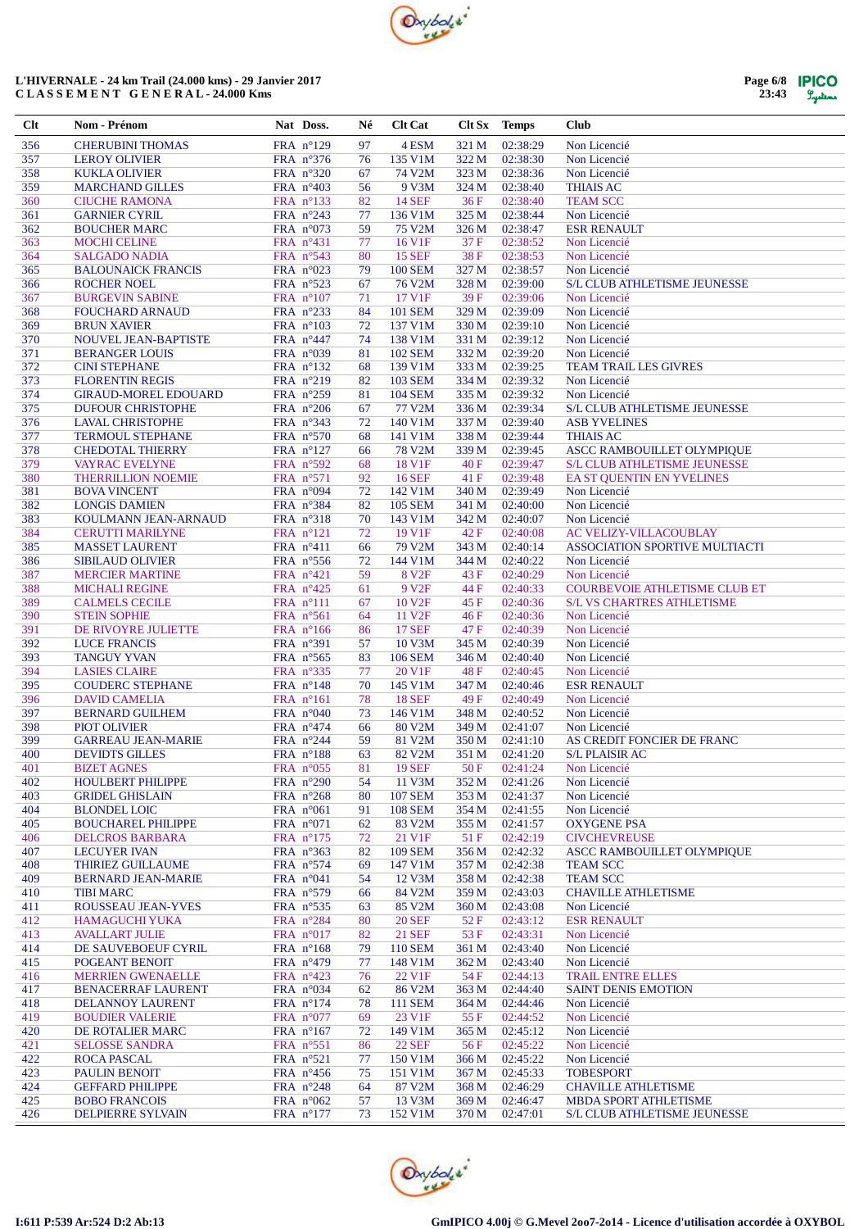

| Page 6/8 | <b>IPICO</b> |
|----------|--------------|
| 23:43    | Systems      |

| Clt        | Nom - Prénom                                       | Nat Doss.                                 | Né       | Clt Cat                  | Clt Sx         | <b>Temps</b>         | <b>Club</b>                                                       |
|------------|----------------------------------------------------|-------------------------------------------|----------|--------------------------|----------------|----------------------|-------------------------------------------------------------------|
| 356        | <b>CHERUBINI THOMAS</b>                            | FRA n°129                                 | 97       | 4 ESM                    | 321 M          | 02:38:29             | Non Licencié                                                      |
| 357        | <b>LEROY OLIVIER</b>                               | FRA n°376                                 | 76       | 135 V1M                  | 322 M          | 02:38:30             | Non Licencié                                                      |
| 358        | <b>KUKLA OLIVIER</b>                               | FRA $n^{\circ}320$                        | 67       | 74 V2M                   | 323 M          | 02:38:36             | Non Licencié                                                      |
| 359        | <b>MARCHAND GILLES</b>                             | FRA $n^{\circ}403$                        | 56       | 9 V3M                    | 324 M          | 02:38:40             | <b>THIAIS AC</b>                                                  |
| 360        | <b>CIUCHE RAMONA</b>                               | FRA nº133                                 | 82       | <b>14 SEF</b>            | 36F            | 02:38:40             | <b>TEAM SCC</b>                                                   |
| 361        | <b>GARNIER CYRIL</b>                               | FRA $n^{\circ}243$                        | 77       | 136 V1M                  | 325 M          | 02:38:44             | Non Licencié                                                      |
| 362        | <b>BOUCHER MARC</b>                                | FRA $n^{\circ}073$                        | 59       | 75 V2M                   | 326 M          | 02:38:47             | <b>ESR RENAULT</b>                                                |
| 363<br>364 | <b>MOCHI CELINE</b><br><b>SALGADO NADIA</b>        | FRA $n^{\circ}431$<br>FRA $n^{\circ}$ 543 | 77<br>80 | 16 V1F<br><b>15 SEF</b>  | 37 F<br>38F    | 02:38:52<br>02:38:53 | Non Licencié<br>Non Licencié                                      |
| 365        | <b>BALOUNAICK FRANCIS</b>                          | FRA $n^{\circ}023$                        | 79       | <b>100 SEM</b>           | 327 M          | 02:38:57             | Non Licencié                                                      |
| 366        | <b>ROCHER NOEL</b>                                 | FRA $n^{\circ}523$                        | 67       | 76 V2M                   | 328 M          | 02:39:00             | S/L CLUB ATHLETISME JEUNESSE                                      |
| 367        | <b>BURGEVIN SABINE</b>                             | FRA $n^{\circ}107$                        | 71       | 17 V1F                   | 39F            | 02:39:06             | Non Licencié                                                      |
| 368        | <b>FOUCHARD ARNAUD</b>                             | FRA $n^{\circ}233$                        | 84       | <b>101 SEM</b>           | 329 M          | 02:39:09             | Non Licencié                                                      |
| 369        | <b>BRUN XAVIER</b>                                 | FRA $n^{\circ}103$                        | 72       | 137 V1M                  | 330 M          | 02:39:10             | Non Licencié                                                      |
| 370        | <b>NOUVEL JEAN-BAPTISTE</b>                        | FRA $n^{\circ}447$                        | 74       | 138 V1M                  | 331 M          | 02:39:12             | Non Licencié                                                      |
| 371        | <b>BERANGER LOUIS</b>                              | FRA $n^{\circ}039$                        | 81       | <b>102 SEM</b>           | 332 M          | 02:39:20             | Non Licencié                                                      |
| 372        | <b>CINI STEPHANE</b>                               | FRA $n^{\circ}132$                        | 68       | 139 V1M                  | 333 M          | 02:39:25             | <b>TEAM TRAIL LES GIVRES</b>                                      |
| 373        | <b>FLORENTIN REGIS</b>                             | FRA $n^{\circ}219$                        | 82       | <b>103 SEM</b>           | 334 M          | 02:39:32             | Non Licencié                                                      |
| 374        | <b>GIRAUD-MOREL EDOUARD</b>                        | FRA $n^{\circ}259$                        | 81       | <b>104 SEM</b>           | 335 M          | 02:39:32             | Non Licencié                                                      |
| 375        | <b>DUFOUR CHRISTOPHE</b>                           | FRA $n^{\circ}206$                        | 67       | 77 V2M                   | 336 M          | 02:39:34             | S/L CLUB ATHLETISME JEUNESSE                                      |
| 376<br>377 | <b>LAVAL CHRISTOPHE</b>                            | FRA $n^{\circ}343$                        | 72       | 140 V1M                  | 337 M          | 02:39:40             | <b>ASB YVELINES</b>                                               |
| 378        | <b>TERMOUL STEPHANE</b><br><b>CHEDOTAL THIERRY</b> | FRA $n^{\circ}570$                        | 68<br>66 | 141 V1M<br><b>78 V2M</b> | 338 M          | 02:39:44<br>02:39:45 | <b>THIAIS AC</b>                                                  |
| 379        | <b>VAYRAC EVELYNE</b>                              | FRA $n^{\circ}127$<br>FRA n°592           | 68       | 18 V1F                   | 339 M<br>40F   | 02:39:47             | ASCC RAMBOUILLET OLYMPIQUE<br><b>S/L CLUB ATHLETISME JEUNESSE</b> |
| 380        | <b>THERRILLION NOEMIE</b>                          | FRA $n^{\circ}571$                        | 92       | <b>16 SEF</b>            | 41 F           | 02:39:48             | EA ST OUENTIN EN YVELINES                                         |
| 381        | <b>BOVA VINCENT</b>                                | FRA $n^{\circ}094$                        | 72       | 142 V1M                  | 340 M          | 02:39:49             | Non Licencié                                                      |
| 382        | <b>LONGIS DAMIEN</b>                               | FRA $n^{\circ}384$                        | 82       | <b>105 SEM</b>           | 341 M          | 02:40:00             | Non Licencié                                                      |
| 383        | KOULMANN JEAN-ARNAUD                               | FRA $n^{\circ}318$                        | 70       | 143 V1M                  | 342 M          | 02:40:07             | Non Licencié                                                      |
| 384        | <b>CERUTTI MARILYNE</b>                            | FRA n°121                                 | 72       | 19 V1F                   | 42F            | 02:40:08             | <b>AC VELIZY-VILLACOUBLAY</b>                                     |
| 385        | <b>MASSET LAURENT</b>                              | FRA $n^{\circ}411$                        | 66       | 79 V2M                   | 343 M          | 02:40:14             | <b>ASSOCIATION SPORTIVE MULTIACTI</b>                             |
| 386        | <b>SIBILAUD OLIVIER</b>                            | FRA $n^{\circ}$ 556                       | 72       | 144 V1M                  | 344 M          | 02:40:22             | Non Licencié                                                      |
| 387        | <b>MERCIER MARTINE</b>                             | FRA $n^{\circ}421$                        | 59       | 8 V <sub>2F</sub>        | 43 F           | 02:40:29             | Non Licencié                                                      |
| 388        | <b>MICHALI REGINE</b>                              | FRA $n^{\circ}425$                        | 61       | 9 V <sub>2F</sub>        | 44 F           | 02:40:33             | <b>COURBEVOIE ATHLETISME CLUB ET</b>                              |
| 389        | <b>CALMELS CECILE</b>                              | FRA n°111                                 | 67       | 10 V <sub>2F</sub>       | 45 F           | 02:40:36             | <b>S/L VS CHARTRES ATHLETISME</b>                                 |
| 390        | <b>STEIN SOPHIE</b>                                | FRA n°561                                 | 64       | 11 V <sub>2F</sub>       | 46 F           | 02:40:36             | Non Licencié                                                      |
| 391        | DE RIVOYRE JULIETTE                                | FRA $n^{\circ}166$                        | 86       | <b>17 SEF</b>            | 47 F           | 02:40:39             | Non Licencié                                                      |
| 392        | <b>LUCE FRANCIS</b>                                | FRA $n^{\circ}391$                        | 57       | 10 V3M                   | 345 M          | 02:40:39             | Non Licencié                                                      |
| 393        | <b>TANGUY YVAN</b><br><b>LASIES CLAIRE</b>         | FRA $n^{\circ}565$                        | 83       | <b>106 SEM</b>           | 346 M          | 02:40:40             | Non Licencié                                                      |
| 394<br>395 | <b>COUDERC STEPHANE</b>                            | FRA $n^{\circ}335$<br>FRA n°148           | 77<br>70 | 20 V1F<br>145 V1M        | 48 F<br>347 M  | 02:40:45<br>02:40:46 | Non Licencié<br><b>ESR RENAULT</b>                                |
| 396        | <b>DAVID CAMELIA</b>                               | FRA $n^{\circ}161$                        | 78       | <b>18 SEF</b>            | 49 F           | 02:40:49             | Non Licencié                                                      |
| 397        | <b>BERNARD GUILHEM</b>                             | FRA $n^{\circ}040$                        | 73       | 146 V1M                  | 348 M          | 02:40:52             | Non Licencié                                                      |
| 398        | <b>PIOT OLIVIER</b>                                | FRA $n^{\circ}474$                        | 66       | 80 V2M                   | 349 M          | 02:41:07             | Non Licencié                                                      |
| 399        | <b>GARREAU JEAN-MARIE</b>                          | FRA $n^{\circ}244$                        | 59       | 81 V2M                   | 350 M          | 02:41:10             | AS CREDIT FONCIER DE FRANC                                        |
| 400        | <b>DEVIDTS GILLES</b>                              | FRA $n^{\circ}188$                        | 63       | 82 V2M                   | 351 M          | 02:41:20             | <b>S/L PLAISIR AC</b>                                             |
| 401        | <b>BIZET AGNES</b>                                 | FRA $n^{\circ}055$                        | 81       | <b>19 SEF</b>            | 50 F           | 02:41:24             | Non Licencié                                                      |
| 402        | <b>HOULBERT PHILIPPE</b>                           | FRA $n^{\circ}290$                        | 54       | 11 V3M                   | 352 M          | 02:41:26             | Non Licencié                                                      |
| 403        | <b>GRIDEL GHISLAIN</b>                             | FRA $n^{\circ}268$                        | 80       | <b>107 SEM</b>           | 353 M          | 02:41:37             | Non Licencié                                                      |
| 404        | <b>BLONDEL LOIC</b>                                | FRA $n^{\circ}061$                        | 91       | <b>108 SEM</b>           | 354 M          | 02:41:55             | Non Licencié                                                      |
| 405        | <b>BOUCHAREL PHILIPPE</b>                          | FRA $n^{\circ}071$                        | 62       | 83 V2M                   | 355 M          | 02:41:57             | <b>OXYGENE PSA</b>                                                |
| 406        | <b>DELCROS BARBARA</b>                             | FRA n°175                                 | 72       | 21 V1F                   | 51 F           | 02:42:19             | <b>CIVCHEVREUSE</b>                                               |
| 407        | <b>LECUYER IVAN</b>                                | FRA n°363                                 | 82       | <b>109 SEM</b>           | 356 M          | 02:42:32             | <b>ASCC RAMBOUILLET OLYMPIQUE</b>                                 |
| 408        | <b>THIRIEZ GUILLAUME</b>                           | FRA $n^{\circ}574$                        | 69       | 147 V1M                  | 357 M          | 02:42:38             | <b>TEAM SCC</b>                                                   |
| 409        | <b>BERNARD JEAN-MARIE</b>                          | FRA $n^{\circ}041$                        | 54       | 12 V3M                   | 358 M          | 02:42:38             | <b>TEAM SCC</b>                                                   |
| 410<br>411 | <b>TIBI MARC</b><br>ROUSSEAU JEAN-YVES             | FRA n°579<br>FRA n°535                    | 66<br>63 | 84 V2M<br>85 V2M         | 359 M<br>360 M | 02:43:03<br>02:43:08 | <b>CHAVILLE ATHLETISME</b><br>Non Licencié                        |
| 412        | <b>HAMAGUCHI YUKA</b>                              | FRA n°284                                 | 80       | <b>20 SEF</b>            | 52F            | 02:43:12             | <b>ESR RENAULT</b>                                                |
| 413        | <b>AVALLART JULIE</b>                              | FRA $n^{\circ}017$                        | 82       | <b>21 SEF</b>            | 53 F           | 02:43:31             | Non Licencié                                                      |
| 414        | DE SAUVEBOEUF CYRIL                                | FRA n°168                                 | 79       | <b>110 SEM</b>           | 361 M          | 02:43:40             | Non Licencié                                                      |
| 415        | POGEANT BENOIT                                     | FRA $n^{\circ}479$                        | 77       | 148 V1M                  | 362 M          | 02:43:40             | Non Licencié                                                      |
| 416        | <b>MERRIEN GWENAELLE</b>                           | FRA $n^{\circ}423$                        | 76       | 22 V1F                   | 54 F           | 02:44:13             | TRAIL ENTRE ELLES                                                 |
| 417        | <b>BENACERRAF LAURENT</b>                          | FRA $n^{\circ}034$                        | 62       | 86 V2M                   | 363 M          | 02:44:40             | <b>SAINT DENIS EMOTION</b>                                        |
| 418        | DELANNOY LAURENT                                   | FRA $n^{\circ}174$                        | 78       | <b>111 SEM</b>           | 364 M          | 02:44:46             | Non Licencié                                                      |
| 419        | <b>BOUDIER VALERIE</b>                             | FRA $n^{\circ}077$                        | 69       | 23 V1F                   | 55 F           | 02:44:52             | Non Licencié                                                      |
| 420        | DE ROTALIER MARC                                   | FRA $n^{\circ}167$                        | 72       | 149 V1M                  | 365 M          | 02:45:12             | Non Licencié                                                      |
| 421        | <b>SELOSSE SANDRA</b>                              | FRA n°551                                 | 86       | <b>22 SEF</b>            | 56 F           | 02:45:22             | Non Licencié                                                      |
| 422        | <b>ROCA PASCAL</b>                                 | FRA n°521                                 | 77       | 150 V1M                  | 366 M          | 02:45:22             | Non Licencié                                                      |
| 423        | <b>PAULIN BENOIT</b>                               | FRA $n^{\circ}456$                        | 75       | 151 V1M                  | 367 M          | 02:45:33             | <b>TOBESPORT</b>                                                  |
| 424        | <b>GEFFARD PHILIPPE</b>                            | FRA $n^{\circ}248$                        | 64       | 87 V2M                   | 368 M          | 02:46:29             | <b>CHAVILLE ATHLETISME</b>                                        |
| 425        | <b>BOBO FRANCOIS</b>                               | FRA $n^{\circ}062$                        | 57       | 13 V3M                   | 369 M          | 02:46:47             | <b>MBDA SPORT ATHLETISME</b>                                      |
| 426        | <b>DELPIERRE SYLVAIN</b>                           | FRA n°177                                 | 73       | 152 V1M                  | 370 M          | 02:47:01             | <b>S/L CLUB ATHLETISME JEUNESSE</b>                               |

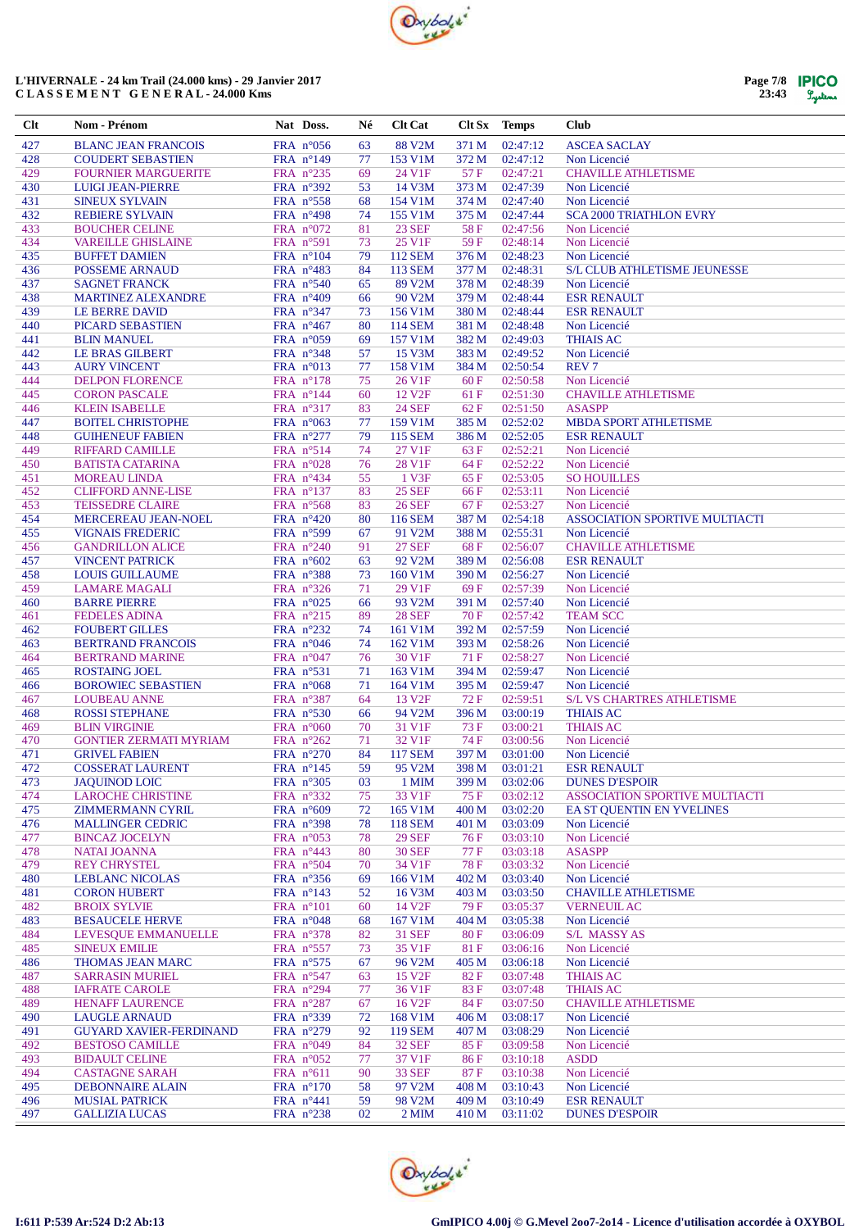

| Page 7/8 | <b>IPICO</b> |
|----------|--------------|
| 23:43    | Lystems      |

| Clt        | Nom - Prénom                                        | Nat Doss.                                | Né       | <b>Clt Cat</b>          |               | Clt Sx Temps         | <b>Club</b>                                                        |
|------------|-----------------------------------------------------|------------------------------------------|----------|-------------------------|---------------|----------------------|--------------------------------------------------------------------|
| 427        | <b>BLANC JEAN FRANCOIS</b>                          | FRA $n^{\circ}056$                       | 63       | 88 V2M                  | 371 M         | 02:47:12             | <b>ASCEA SACLAY</b>                                                |
| 428        | <b>COUDERT SEBASTIEN</b>                            | FRA $n^{\circ}149$                       | 77       | 153 V1M                 | 372 M         | 02:47:12             | Non Licencié                                                       |
| 429        | <b>FOURNIER MARGUERITE</b>                          | FRA $n^{\circ}235$                       | 69       | 24 V1F                  | 57 F          | 02:47:21             | <b>CHAVILLE ATHLETISME</b>                                         |
| 430        | <b>LUIGI JEAN-PIERRE</b>                            | FRA $n^{\circ}392$                       | 53       | 14 V3M                  | 373 M         | 02:47:39             | Non Licencié                                                       |
| 431        | <b>SINEUX SYLVAIN</b>                               | FRA $n^{\circ}$ 558                      | 68       | 154 V1M                 | 374 M         | 02:47:40             | Non Licencié                                                       |
| 432        | <b>REBIERE SYLVAIN</b>                              | FRA $n^{\circ}498$                       | 74       | 155 V1M                 | 375 M         | 02:47:44             | <b>SCA 2000 TRIATHLON EVRY</b>                                     |
| 433<br>434 | <b>BOUCHER CELINE</b><br><b>VAREILLE GHISLAINE</b>  | FRA $n^{\circ}072$                       | 81<br>73 | <b>23 SEF</b><br>25 V1F | 58F<br>59F    | 02:47:56<br>02:48:14 | Non Licencié<br>Non Licencié                                       |
| 435        | <b>BUFFET DAMIEN</b>                                | FRA $n^{\circ}591$<br>FRA $n^{\circ}104$ | 79       | <b>112 SEM</b>          | 376 M         | 02:48:23             | Non Licencié                                                       |
| 436        | POSSEME ARNAUD                                      | FRA $n^{\circ}483$                       | 84       | 113 SEM                 | 377 M         | 02:48:31             | <b>S/L CLUB ATHLETISME JEUNESSE</b>                                |
| 437        | <b>SAGNET FRANCK</b>                                | FRA $n^{\circ}540$                       | 65       | 89 V2M                  | 378 M         | 02:48:39             | Non Licencié                                                       |
| 438        | <b>MARTINEZ ALEXANDRE</b>                           | FRA $n^{\circ}409$                       | 66       | 90 V2M                  | 379 M         | 02:48:44             | <b>ESR RENAULT</b>                                                 |
| 439        | LE BERRE DAVID                                      | FRA $n^{\circ}347$                       | 73       | 156 V1M                 | 380 M         | 02:48:44             | <b>ESR RENAULT</b>                                                 |
| 440        | PICARD SEBASTIEN                                    | FRA $n^{\circ}467$                       | 80       | 114 SEM                 | 381 M         | 02:48:48             | Non Licencié                                                       |
| 441        | <b>BLIN MANUEL</b>                                  | FRA $n^{\circ}059$                       | 69       | 157 V1M                 | 382 M         | 02:49:03             | <b>THIAIS AC</b>                                                   |
| 442<br>443 | LE BRAS GILBERT                                     | FRA $n^{\circ}348$                       | 57       | 15 V3M<br>158 V1M       | 383 M         | 02:49:52<br>02:50:54 | Non Licencié<br><b>REV7</b>                                        |
| 444        | <b>AURY VINCENT</b><br><b>DELPON FLORENCE</b>       | FRA $n^{\circ}013$<br>FRA $n^{\circ}178$ | 77<br>75 | 26 V1F                  | 384 M<br>60F  | 02:50:58             | Non Licencié                                                       |
| 445        | <b>CORON PASCALE</b>                                | FRA $n^{\circ}144$                       | 60       | 12 V <sub>2F</sub>      | 61 F          | 02:51:30             | <b>CHAVILLE ATHLETISME</b>                                         |
| 446        | <b>KLEIN ISABELLE</b>                               | FRA $n^{\circ}317$                       | 83       | <b>24 SEF</b>           | 62 F          | 02:51:50             | <b>ASASPP</b>                                                      |
| 447        | <b>BOITEL CHRISTOPHE</b>                            | FRA $n^{\circ}063$                       | 77       | 159 V1M                 | 385 M         | 02:52:02             | <b>MBDA SPORT ATHLETISME</b>                                       |
| 448        | <b>GUIHENEUF FABIEN</b>                             | FRA n°277                                | 79       | <b>115 SEM</b>          | 386 M         | 02:52:05             | <b>ESR RENAULT</b>                                                 |
| 449        | <b>RIFFARD CAMILLE</b>                              | FRA $n^{\circ}514$                       | 74       | 27 V1F                  | 63 F          | 02:52:21             | Non Licencié                                                       |
| 450        | <b>BATISTA CATARINA</b>                             | FRA $n^{\circ}028$                       | 76       | 28 V1F                  | 64 F          | 02:52:22             | Non Licencié                                                       |
| 451        | <b>MOREAU LINDA</b>                                 | FRA nº434                                | 55       | 1 V3F                   | 65 F          | 02:53:05             | <b>SO HOUILLES</b>                                                 |
| 452        | <b>CLIFFORD ANNE-LISE</b>                           | FRA $n^{\circ}137$                       | 83       | <b>25 SEF</b>           | 66 F          | 02:53:11             | Non Licencié                                                       |
| 453<br>454 | <b>TEISSEDRE CLAIRE</b><br>MERCEREAU JEAN-NOEL      | FRA $n^{\circ}$ 568                      | 83       | <b>26 SEF</b>           | 67 F<br>387 M | 02:53:27<br>02:54:18 | Non Licencié<br>ASSOCIATION SPORTIVE MULTIACTI                     |
| 455        | <b>VIGNAIS FREDERIC</b>                             | FRA $n^{\circ}420$<br>FRA $n^{\circ}599$ | 80<br>67 | 116 SEM<br>91 V2M       | 388 M         | 02:55:31             | Non Licencié                                                       |
| 456        | <b>GANDRILLON ALICE</b>                             | FRA $n^{\circ}240$                       | 91       | <b>27 SEF</b>           | 68F           | 02:56:07             | <b>CHAVILLE ATHLETISME</b>                                         |
| 457        | <b>VINCENT PATRICK</b>                              | FRA $n^{\circ}602$                       | 63       | 92 V2M                  | 389 M         | 02:56:08             | <b>ESR RENAULT</b>                                                 |
| 458        | <b>LOUIS GUILLAUME</b>                              | FRA $n^{\circ}388$                       | 73       | 160 V1M                 | 390 M         | 02:56:27             | Non Licencié                                                       |
| 459        | <b>LAMARE MAGALI</b>                                | FRA $n^{\circ}326$                       | 71       | 29 V1F                  | 69F           | 02:57:39             | Non Licencié                                                       |
| 460        | <b>BARRE PIERRE</b>                                 | FRA $n^{\circ}025$                       | 66       | 93 V2M                  | 391 M         | 02:57:40             | Non Licencié                                                       |
| 461        | <b>FEDELES ADINA</b>                                | FRA $n^{\circ}215$                       | 89       | <b>28 SEF</b>           | 70 F          | 02:57:42             | <b>TEAM SCC</b>                                                    |
| 462        | <b>FOUBERT GILLES</b>                               | FRA n°232                                | 74       | 161 V1M                 | 392 M         | 02:57:59             | Non Licencié                                                       |
| 463<br>464 | <b>BERTRAND FRANCOIS</b>                            | FRA $n^{\circ}046$                       | 74       | 162 V1M<br>30 V1F       | 393 M<br>71 F | 02:58:26<br>02:58:27 | Non Licencié                                                       |
| 465        | <b>BERTRAND MARINE</b><br><b>ROSTAING JOEL</b>      | FRA $n^{\circ}047$<br>FRA $n^{\circ}531$ | 76<br>71 | 163 V1M                 | 394 M         | 02:59:47             | Non Licencié<br>Non Licencié                                       |
| 466        | <b>BOROWIEC SEBASTIEN</b>                           | FRA $n^{\circ}068$                       | 71       | 164 V1M                 | 395 M         | 02:59:47             | Non Licencié                                                       |
| 467        | <b>LOUBEAU ANNE</b>                                 | FRA $n^{\circ}387$                       | 64       | 13 V <sub>2F</sub>      | 72 F          | 02:59:51             | <b>S/L VS CHARTRES ATHLETISME</b>                                  |
| 468        | <b>ROSSI STEPHANE</b>                               | FRA $n^{\circ}530$                       | 66       | 94 V2M                  | 396 M         | 03:00:19             | <b>THIAIS AC</b>                                                   |
| 469        | <b>BLIN VIRGINIE</b>                                | FRA $n^{\circ}060$                       | 70       | 31 V1F                  | 73 F          | 03:00:21             | <b>THIAIS AC</b>                                                   |
| 470        | <b>GONTIER ZERMATI MYRIAM</b>                       | FRA $n^{\circ}262$                       | 71       | 32 V1F                  | 74 F          | 03:00:56             | Non Licencié                                                       |
| 471        | <b>GRIVEL FABIEN</b>                                | FRA $n^{\circ}270$                       | 84       | <b>117 SEM</b>          | 397 M         | 03:01:00             | Non Licencié                                                       |
| 472        | <b>COSSERAT LAURENT</b>                             | FRA $n^{\circ}145$                       | 59       | 95 V2M                  | 398 M         | 03:01:21             | <b>ESR RENAULT</b>                                                 |
| 473<br>474 | <b>JAQUINOD LOIC</b>                                | FRA n°305                                | 03       | 1 MIM                   | 399 M         | 03:02:06<br>03:02:12 | <b>DUNES D'ESPOIR</b>                                              |
| 475        | <b>LAROCHE CHRISTINE</b><br><b>ZIMMERMANN CYRIL</b> | FRA $n^{\circ}332$<br>FRA $n^{\circ}609$ | 75<br>72 | 33 V1F<br>165 V1M       | 75 F<br>400 M | 03:02:20             | <b>ASSOCIATION SPORTIVE MULTIACTI</b><br>EA ST QUENTIN EN YVELINES |
| 476        | <b>MALLINGER CEDRIC</b>                             | FRA $n^{\circ}398$                       | 78       | <b>118 SEM</b>          | 401 M         | 03:03:09             | Non Licencié                                                       |
| 477        | <b>BINCAZ JOCELYN</b>                               | FRA $n^{\circ}053$                       | 78       | <b>29 SEF</b>           | 76 F          | 03:03:10             | Non Licencié                                                       |
| 478        | <b>NATAI JOANNA</b>                                 | FRA $n^{\circ}443$                       | 80       | <b>30 SEF</b>           | 77 F          | 03:03:18             | <b>ASASPP</b>                                                      |
| 479        | <b>REY CHRYSTEL</b>                                 | FRA $n^{\circ}504$                       | 70       | 34 V1F                  | <b>78 F</b>   | 03:03:32             | Non Licencié                                                       |
| 480        | <b>LEBLANC NICOLAS</b>                              | FRA $n^{\circ}356$                       | 69       | 166 V1M                 | 402 M         | 03:03:40             | Non Licencié                                                       |
| 481        | <b>CORON HUBERT</b>                                 | FRA $n^{\circ}143$                       | 52       | 16 V3M                  | 403 M         | 03:03:50             | <b>CHAVILLE ATHLETISME</b>                                         |
| 482        | <b>BROIX SYLVIE</b>                                 | FRA $n^{\circ}101$                       | 60       | 14 V <sub>2F</sub>      | 79 F          | 03:05:37             | <b>VERNEUIL AC</b>                                                 |
| 483        | <b>BESAUCELE HERVE</b>                              | FRA $n^{\circ}048$                       | 68       | 167 V1M                 | 404 M         | 03:05:38             | Non Licencié                                                       |
| 484<br>485 | LEVESQUE EMMANUELLE<br><b>SINEUX EMILIE</b>         | FRA n°378<br>FRA $n^{\circ}557$          | 82<br>73 | <b>31 SEF</b><br>35 V1F | 80F<br>81 F   | 03:06:09<br>03:06:16 | S/L MASSY AS<br>Non Licencié                                       |
| 486        | THOMAS JEAN MARC                                    | FRA $n^{\circ}575$                       | 67       | 96 V2M                  | 405 M         | 03:06:18             | Non Licencié                                                       |
| 487        | <b>SARRASIN MURIEL</b>                              | FRA n°547                                | 63       | 15 V <sub>2F</sub>      | 82 F          | 03:07:48             | <b>THIAIS AC</b>                                                   |
| 488        | <b>IAFRATE CAROLE</b>                               | FRA n°294                                | 77       | 36 V1F                  | 83 F          | 03:07:48             | <b>THIAIS AC</b>                                                   |
| 489        | <b>HENAFF LAURENCE</b>                              | FRA $n^{\circ}287$                       | 67       | 16 V <sub>2F</sub>      | 84 F          | 03:07:50             | <b>CHAVILLE ATHLETISME</b>                                         |
| 490        | <b>LAUGLE ARNAUD</b>                                | FRA n°339                                | 72       | 168 V1M                 | 406 M         | 03:08:17             | Non Licencié                                                       |
| 491        | <b>GUYARD XAVIER-FERDINAND</b>                      | FRA $n^{\circ}279$                       | 92       | <b>119 SEM</b>          | 407 M         | 03:08:29             | Non Licencié                                                       |
| 492        | <b>BESTOSO CAMILLE</b>                              | FRA $n^{\circ}049$                       | 84       | <b>32 SEF</b>           | 85 F          | 03:09:58             | Non Licencié                                                       |
| 493<br>494 | <b>BIDAULT CELINE</b>                               | FRA $n^{\circ}052$                       | 77       | 37 V1F<br><b>33 SEF</b> | 86 F          | 03:10:18<br>03:10:38 | <b>ASDD</b><br>Non Licencié                                        |
| 495        | <b>CASTAGNE SARAH</b><br><b>DEBONNAIRE ALAIN</b>    | FRA $n^{\circ}611$<br>FRA $n^{\circ}170$ | 90<br>58 | 97 V2M                  | 87 F<br>408 M | 03:10:43             | Non Licencié                                                       |
| 496        | <b>MUSIAL PATRICK</b>                               | FRA $n^{\circ}441$                       | 59       | 98 V2M                  | 409 M         | 03:10:49             | <b>ESR RENAULT</b>                                                 |
| 497        | <b>GALLIZIA LUCAS</b>                               | FRA $n^{\circ}238$                       | 02       | 2 MIM                   | 410 M         | 03:11:02             | <b>DUNES D'ESPOIR</b>                                              |
|            |                                                     |                                          |          |                         |               |                      |                                                                    |